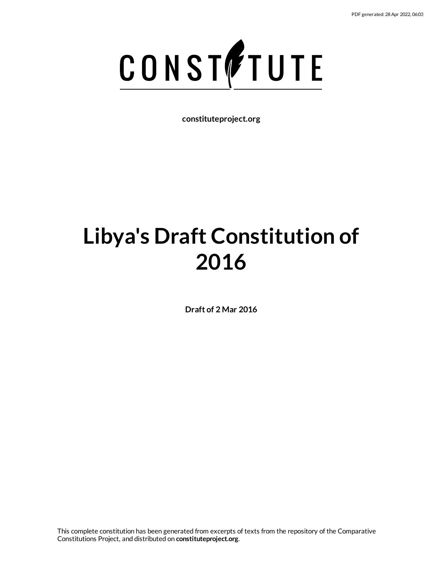

**constituteproject.org**

# **Libya's Draft Constitution of 2016**

**Draft of 2 Mar 2016**

This complete constitution has been generated from excerpts of texts from the repository of the Comparative Constitutions Project, and distributed on **constituteproject.org**.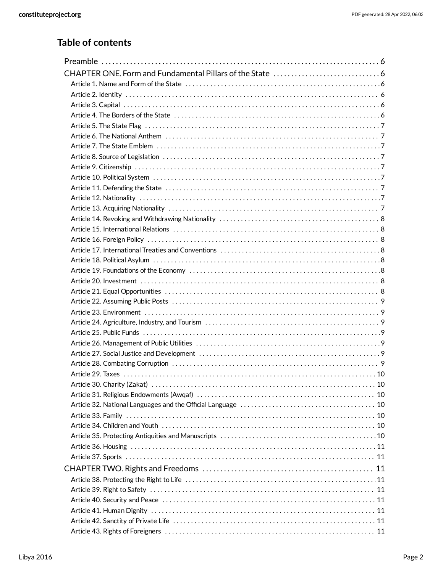# **Table of contents**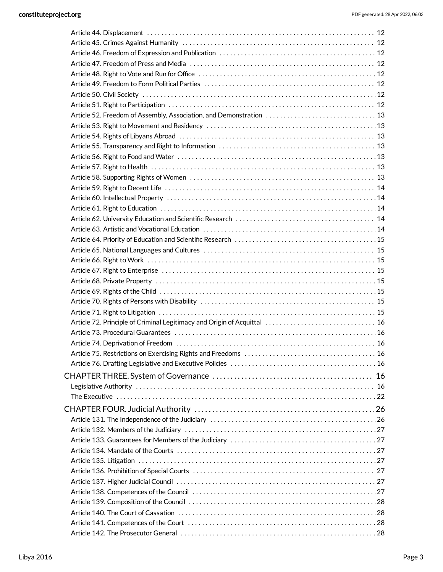| Article 52. Freedom of Assembly, Association, and Demonstration  13 |  |
|---------------------------------------------------------------------|--|
|                                                                     |  |
|                                                                     |  |
|                                                                     |  |
|                                                                     |  |
|                                                                     |  |
|                                                                     |  |
|                                                                     |  |
|                                                                     |  |
|                                                                     |  |
|                                                                     |  |
|                                                                     |  |
|                                                                     |  |
|                                                                     |  |
|                                                                     |  |
|                                                                     |  |
|                                                                     |  |
|                                                                     |  |
|                                                                     |  |
|                                                                     |  |
|                                                                     |  |
|                                                                     |  |
|                                                                     |  |
|                                                                     |  |
|                                                                     |  |
|                                                                     |  |
|                                                                     |  |
|                                                                     |  |
|                                                                     |  |
|                                                                     |  |
|                                                                     |  |
|                                                                     |  |
|                                                                     |  |
|                                                                     |  |
|                                                                     |  |
|                                                                     |  |
|                                                                     |  |
|                                                                     |  |
|                                                                     |  |
|                                                                     |  |
|                                                                     |  |
|                                                                     |  |
|                                                                     |  |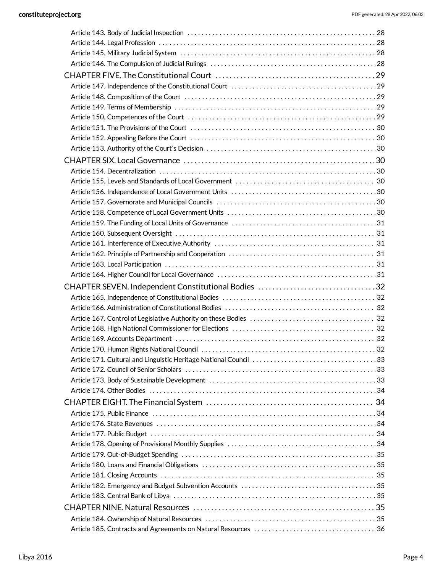| CHAPTER SEVEN. Independent Constitutional Bodies 32 |  |
|-----------------------------------------------------|--|
|                                                     |  |
|                                                     |  |
|                                                     |  |
|                                                     |  |
|                                                     |  |
|                                                     |  |
|                                                     |  |
|                                                     |  |
|                                                     |  |
|                                                     |  |
|                                                     |  |
|                                                     |  |
|                                                     |  |
|                                                     |  |
|                                                     |  |
|                                                     |  |
|                                                     |  |
|                                                     |  |
|                                                     |  |
|                                                     |  |
|                                                     |  |
|                                                     |  |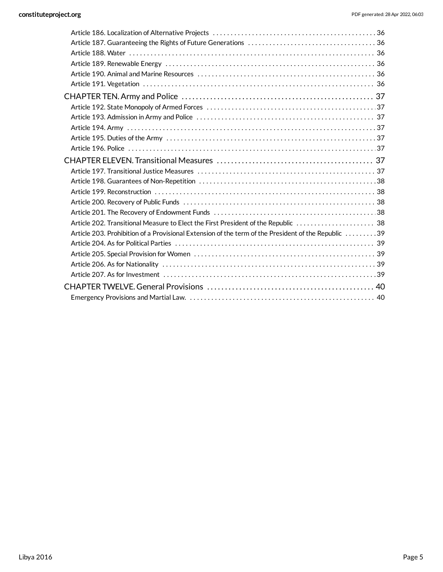| Article 202. Transitional Measure to Elect the First President of the Republic  38                  |  |
|-----------------------------------------------------------------------------------------------------|--|
| Article 203. Prohibition of a Provisional Extension of the term of the President of the Republic 39 |  |
|                                                                                                     |  |
|                                                                                                     |  |
|                                                                                                     |  |
|                                                                                                     |  |
|                                                                                                     |  |
|                                                                                                     |  |
|                                                                                                     |  |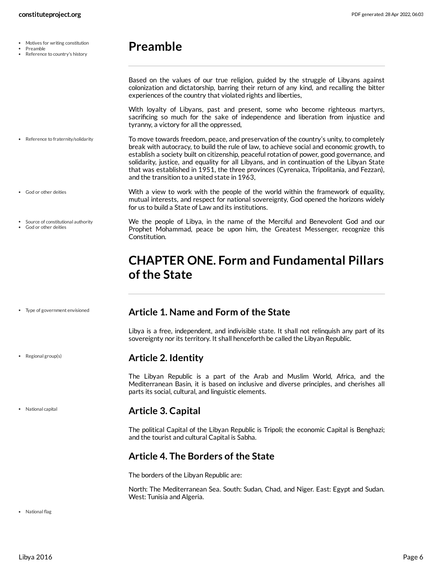- Motives for writing constitution  $\bullet$
- Preamble
- Reference to country's history
- <span id="page-5-0"></span>**Preamble**

Based on the values of our true religion, guided by the struggle of Libyans against colonization and dictatorship, barring their return of any kind, and recalling the bitter experiences of the country that violated rights and liberties,

<span id="page-5-8"></span>With loyalty of Libyans, past and present, some who become righteous martyrs, sacrificing so much for the sake of independence and liberation from injustice and tyranny, a victory for all the oppressed,

To move towards freedom, peace, and preservation of the country's unity, to completely break with autocracy, to build the rule of law, to achieve social and economic growth, to establish a society built on citizenship, peaceful rotation of power, good governance, and solidarity, justice, and equality for all Libyans, and in continuation of the Libyan State that was established in 1951, the three provinces (Cyrenaica, Tripolitania, and Fezzan), and the transition to a united state in 1963, • Reference to fraternity/solidarity

for us to build a State of Law and its institutions.

<span id="page-5-2"></span>**Article 1. Name and Form of the State**

- God or other deities
- Source of constitutional authority God or other deities

<span id="page-5-9"></span>We the people of Libya, in the name of the Merciful and Benevolent God and our Prophet Mohammad, peace be upon him, the Greatest Messenger, recognize this Constitution.

<span id="page-5-6"></span>With a view to work with the people of the world within the framework of equality, mutual interests, and respect for national sovereignty, God opened the horizons widely

# <span id="page-5-1"></span>**CHAPTER ONE. Form and Fundamental Pillars ofthe State**

Libya is a free, independent, and indivisible state. It shall not relinquish any part of its

The Libyan Republic is a part of the Arab and Muslim World, Africa, and the

sovereignty nor its territory. It shall henceforth be called the Libyan Republic.

#### Type of government envisioned

• Regional group(s)

National capital

#### Mediterranean Basin, it is based on inclusive and diverse principles, and cherishes all parts its social, cultural, and linguistic elements.

<span id="page-5-3"></span>**Article 2. Identity**

# <span id="page-5-4"></span>**Article 3. Capital**

The political Capital of the Libyan Republic is Tripoli; the economic Capital is Benghazi; and the tourist and cultural Capital is Sabha.

# <span id="page-5-5"></span>**Article 4. The Borders of the State**

The borders of the Libyan Republic are:

<span id="page-5-7"></span>North: The Mediterranean Sea. South: Sudan, Chad, and Niger. East: Egypt and Sudan. West: Tunisia and Algeria.

· National flag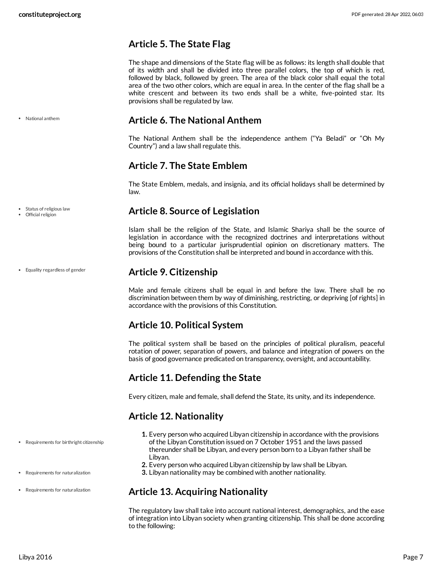# <span id="page-6-0"></span>**Article 5. The State Flag**

The shape and dimensions of the State flag will be as follows: its length shall double that of its width and shall be divided into three parallel colors, the top of which is red, followed by black, followed by green. The area of the black color shall equal the total area of the two other colors, which are equal in area. In the center of the flag shall be a white crescent and between its two ends shall be a white, five-pointed star. Its provisions shall be regulated by law.

# <span id="page-6-1"></span>**Article 6. The National Anthem**

The National Anthem shall be the independence anthem ("Ya Beladi" or "Oh My Country") and a law shall regulate this.

# <span id="page-6-2"></span>**Article 7. The State Emblem**

The State Emblem, medals, and insignia, and its official holidays shall be determined by law.

# <span id="page-6-3"></span>**Article 8. Source of Legislation**

Islam shall be the religion of the State, and Islamic Shariya shall be the source of legislation in accordance with the recognized doctrines and interpretations without being bound to a particular jurisprudential opinion on discretionary matters. The provisions of the Constitution shall be interpreted and bound in accordance with this.

# <span id="page-6-4"></span>**Article 9. Citizenship**

Male and female citizens shall be equal in and before the law. There shall be no discrimination between them by way of diminishing, restricting, or depriving [of rights] in accordance with the provisions of this Constitution.

# <span id="page-6-5"></span>**Article 10. Political System**

The political system shall be based on the principles of political pluralism, peaceful rotation of power, separation of powers, and balance and integration of powers on the basis of good governance predicated on transparency, oversight, and accountability.

# <span id="page-6-6"></span>**Article 11. Defending the State**

Every citizen, male and female, shall defend the State, its unity, and its independence.

# <span id="page-6-7"></span>**Article 12. Nationality**

- **1.** Every person who acquired Libyan citizenship in accordance with the provisions of the Libyan Constitution issued on 7 October 1951 and the laws passed thereunder shall be Libyan, and every person born to a Libyan father shall be Libyan.
- **2.** Every person who acquired Libyan citizenship by law shall be Libyan.
- **3.** Libyan nationality may be combined with another nationality.

# <span id="page-6-8"></span>**Article 13. Acquiring Nationality**

The regulatory law shall take into account national interest, demographics, and the ease of integration into Libyan society when granting citizenship. This shall be done according to the following:

National anthem

Equality regardless of gender

• Status of religious law Official religion

Requirements for birthright citizenship

- Requirements for naturalization
- Requirements for naturalization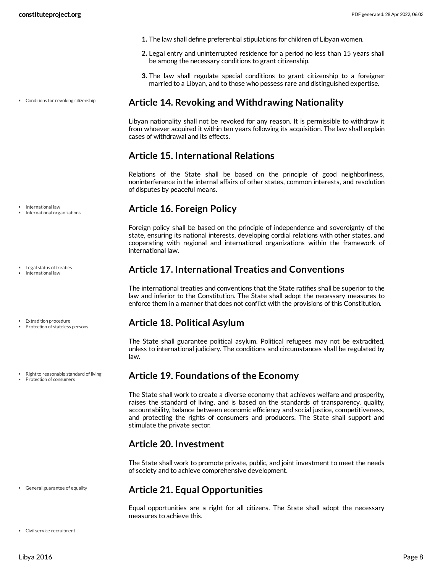Conditions for revoking citizenship

- **1.** The law shall define preferential stipulations for children of Libyan women.
- **2.** Legal entry and uninterrupted residence for a period no less than 15 years shall be among the necessary conditions to grant citizenship.
- **3.** The law shall regulate special conditions to grant citizenship to a foreigner married to a Libyan, and to those who possess rare and distinguished expertise.

## <span id="page-7-0"></span>**Article 14. Revoking and Withdrawing Nationality**

Libyan nationality shall not be revoked for any reason. It is permissible to withdraw it from whoever acquired it within ten years following its acquisition. The law shall explain cases of withdrawal and its effects.

# <span id="page-7-1"></span>**Article 15. International Relations**

Relations of the State shall be based on the principle of good neighborliness, noninterference in the internal affairs of other states, common interests, and resolution of disputes by peaceful means.

# <span id="page-7-2"></span>**Article 16. Foreign Policy**

Foreign policy shall be based on the principle of independence and sovereignty of the state, ensuring its national interests, developing cordial relations with other states, and cooperating with regional and international organizations within the framework of international law.

# <span id="page-7-3"></span>**Article 17. International Treaties and Conventions**

The international treaties and conventions that the State ratifies shall be superior to the law and inferior to the Constitution. The State shall adopt the necessary measures to enforce them in a manner that does not conflict with the provisions of this Constitution.

# <span id="page-7-4"></span>**Article 18. Political Asylum**

The State shall guarantee political asylum. Political refugees may not be extradited, unless to international judiciary. The conditions and circumstances shall be regulated by law.

# <span id="page-7-5"></span>**Article 19. Foundations of the Economy**

The State shall work to create a diverse economy that achieves welfare and prosperity, raises the standard of living, and is based on the standards of transparency, quality, accountability, balance between economic efficiency and social justice, competitiveness, and protecting the rights of consumers and producers. The State shall support and stimulate the private sector.

# <span id="page-7-6"></span>**Article 20. Investment**

The State shall work to promote private, public, and joint investment to meet the needs of society and to achieve comprehensive development.

# <span id="page-7-7"></span>**Article 21. Equal Opportunities**

<span id="page-7-8"></span>Equal opportunities are a right for all citizens. The State shall adopt the necessary measures to achieve this.

International law

- International organizations
- Legal status of treaties International law
- **•** Extradition procedure
- Protection of stateless persons
- Right to reasonable standard of living
- Protection of consumers

General guarantee of equality

Civil service recruitment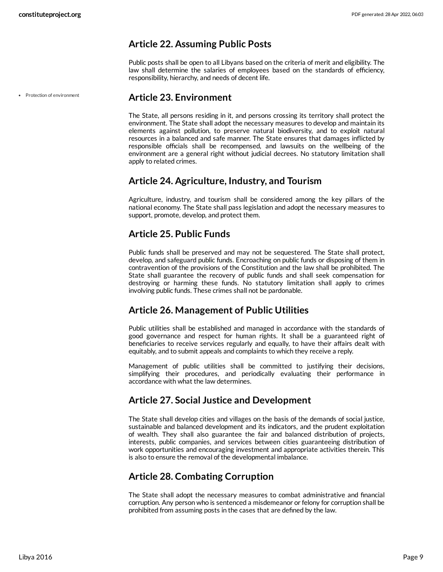# <span id="page-8-0"></span>**Article 22. Assuming Public Posts**

Public posts shall be open to all Libyans based on the criteria of merit and eligibility. The law shall determine the salaries of employees based on the standards of efficiency, responsibility, hierarchy, and needs of decent life.

Protection of environment

## <span id="page-8-1"></span>**Article 23. Environment**

The State, all persons residing in it, and persons crossing its territory shall protect the environment. The State shall adopt the necessary measures to develop and maintain its elements against pollution, to preserve natural biodiversity, and to exploit natural resources in a balanced and safe manner. The State ensures that damages inflicted by responsible officials shall be recompensed, and lawsuits on the wellbeing of the environment are a general right without judicial decrees. No statutory limitation shall apply to related crimes.

## <span id="page-8-2"></span>**Article 24. Agriculture, Industry, and Tourism**

Agriculture, industry, and tourism shall be considered among the key pillars of the national economy. The State shall pass legislation and adopt the necessary measures to support, promote, develop, and protect them.

# <span id="page-8-3"></span>**Article 25. Public Funds**

Public funds shall be preserved and may not be sequestered. The State shall protect, develop, and safeguard public funds. Encroaching on public funds or disposing of them in contravention of the provisions of the Constitution and the law shall be prohibited. The State shall guarantee the recovery of public funds and shall seek compensation for destroying or harming these funds. No statutory limitation shall apply to crimes involving public funds. These crimes shall not be pardonable.

# <span id="page-8-4"></span>**Article 26. Management of Public Utilities**

Public utilities shall be established and managed in accordance with the standards of good governance and respect for human rights. It shall be a guaranteed right of beneficiaries to receive services regularly and equally, to have their affairs dealt with equitably, and to submit appeals and complaints to which they receive a reply.

Management of public utilities shall be committed to justifying their decisions, simplifying their procedures, and periodically evaluating their performance in accordance with what the law determines.

# <span id="page-8-5"></span>**Article 27. Social Justice and Development**

The State shall develop cities and villages on the basis of the demands of social justice, sustainable and balanced development and its indicators, and the prudent exploitation of wealth. They shall also guarantee the fair and balanced distribution of projects, interests, public companies, and services between cities guaranteeing distribution of work opportunities and encouraging investment and appropriate activities therein. This is also to ensure the removal of the developmental imbalance.

# <span id="page-8-6"></span>**Article 28. Combating Corruption**

The State shall adopt the necessary measures to combat administrative and financial corruption. Any person who is sentenced a misdemeanor or felony for corruption shall be prohibited from assuming posts in the cases that are defined by the law.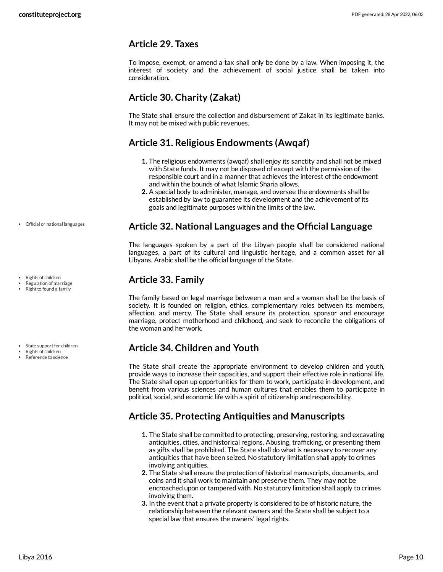# <span id="page-9-0"></span>**Article 29. Taxes**

To impose, exempt, or amend a tax shall only be done by a law. When imposing it, the interest of society and the achievement of social justice shall be taken into consideration.

# <span id="page-9-1"></span>**Article 30. Charity (Zakat)**

The State shall ensure the collection and disbursement of Zakat in its legitimate banks. It may not be mixed with public revenues.

# <span id="page-9-2"></span>**Article 31. Religious Endowments (Awqaf)**

- **1.** The religious endowments (awqaf) shall enjoy its sanctity and shall not be mixed with State funds. It may not be disposed of except with the permission of the responsible court and in a manner that achieves the interest of the endowment and within the bounds of what Islamic Sharia allows.
- **2.** A special body to administer, manage, and oversee the endowments shall be established by law to guarantee its development and the achievement of its goals and legitimate purposes within the limits of the law.

# <span id="page-9-3"></span>**Article 32. National Languages and the Official Language**

The languages spoken by a part of the Libyan people shall be considered national languages, a part of its cultural and linguistic heritage, and a common asset for all Libyans. Arabic shall be the official language of the State.

# <span id="page-9-4"></span>**Article 33. Family**

The family based on legal marriage between a man and a woman shall be the basis of society. It is founded on religion, ethics, complementary roles between its members, affection, and mercy. The State shall ensure its protection, sponsor and encourage marriage, protect motherhood and childhood, and seek to reconcile the obligations of the woman and her work.

# <span id="page-9-5"></span>**Article 34. Children and Youth**

The State shall create the appropriate environment to develop children and youth, provide ways to increase their capacities, and support their effective role in national life. The State shall open up opportunities for them to work, participate in development, and benefit from various sciences and human cultures that enables them to participate in political, social, and economic life with a spirit of citizenship and responsibility.

# <span id="page-9-6"></span>**Article 35. Protecting Antiquities and Manuscripts**

- **1.** The State shall be committed to protecting, preserving, restoring, and excavating antiquities, cities, and historical regions. Abusing, trafficking, or presenting them as gifts shall be prohibited. The State shall do what is necessary to recover any antiquities that have been seized. No statutory limitation shall apply to crimes involving antiquities.
- **2.** The State shall ensure the protection of historical manuscripts, documents, and coins and it shall work to maintain and preserve them. They may not be encroached upon or tampered with. No statutory limitation shall apply to crimes involving them.
- **3.** In the event that a private property is considered to be of historic nature, the relationship between the relevant owners and the State shall be subject to a special law that ensures the owners' legal rights.

Official or national languages

Rights of children Regulation of marriage • Right to found a family

• State support for children

- Rights of children
- Reference to science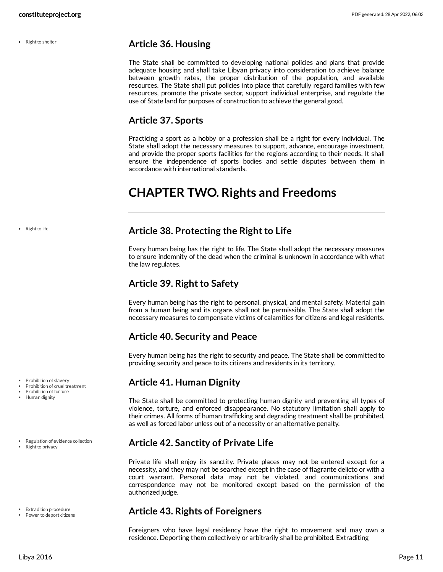• Right to shelter

## <span id="page-10-0"></span>**Article 36. Housing**

The State shall be committed to developing national policies and plans that provide adequate housing and shall take Libyan privacy into consideration to achieve balance between growth rates, the proper distribution of the population, and available resources. The State shall put policies into place that carefully regard families with few resources, promote the private sector, support individual enterprise, and regulate the use of State land for purposes of construction to achieve the general good.

# <span id="page-10-1"></span>**Article 37. Sports**

Practicing a sport as a hobby or a profession shall be a right for every individual. The State shall adopt the necessary measures to support, advance, encourage investment, and provide the proper sports facilities for the regions according to their needs. It shall ensure the independence of sports bodies and settle disputes between them in accordance with international standards.

# <span id="page-10-2"></span>**CHAPTER TWO. Rights and Freedoms**

• Right to life

- Prohibition of slavery
- Prohibition of cruel treatment
- Prohibition of torture
- Human dignity

Regulation of evidence collection Right to privacy

- Extradition procedure
- Power to deport citizens

## <span id="page-10-3"></span>**Article 38. Protecting the Right to Life**

Every human being has the right to life. The State shall adopt the necessary measures to ensure indemnity of the dead when the criminal is unknown in accordance with what the law regulates.

# <span id="page-10-4"></span>**Article 39. Right to Safety**

Every human being has the right to personal, physical, and mental safety. Material gain from a human being and its organs shall not be permissible. The State shall adopt the necessary measures to compensate victims of calamities for citizens and legal residents.

# <span id="page-10-5"></span>**Article 40. Security and Peace**

Every human being has the right to security and peace. The State shall be committed to providing security and peace to its citizens and residents in its territory.

# <span id="page-10-6"></span>**Article 41. Human Dignity**

The State shall be committed to protecting human dignity and preventing all types of violence, torture, and enforced disappearance. No statutory limitation shall apply to their crimes. All forms of human trafficking and degrading treatment shall be prohibited, as well as forced labor unless out of a necessity or an alternative penalty.

# <span id="page-10-7"></span>**Article 42. Sanctity of Private Life**

Private life shall enjoy its sanctity. Private places may not be entered except for a necessity, and they may not be searched except in the case of flagrante delicto or with a court warrant. Personal data may not be violated, and communications and correspondence may not be monitored except based on the permission of the authorized judge.

# <span id="page-10-8"></span>**Article 43. Rights of Foreigners**

Foreigners who have legal residency have the right to movement and may own a residence. Deporting them collectively or arbitrarily shall be prohibited. Extraditing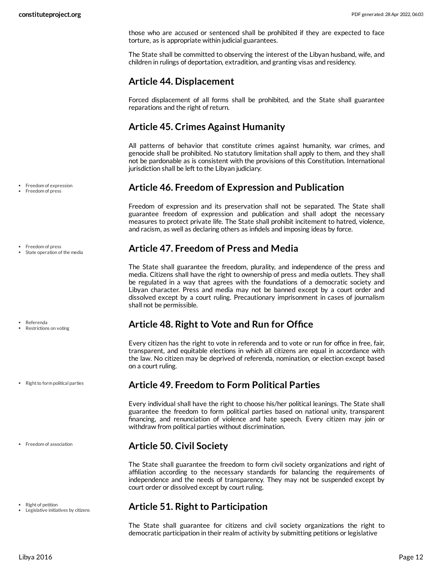those who are accused or sentenced shall be prohibited if they are expected to face torture, as is appropriate within judicial guarantees.

The State shall be committed to observing the interest of the Libyan husband, wife, and children in rulings of deportation, extradition, and granting visas and residency.

# <span id="page-11-0"></span>**Article 44. Displacement**

Forced displacement of all forms shall be prohibited, and the State shall guarantee reparations and the right of return.

# <span id="page-11-1"></span>**Article 45. Crimes Against Humanity**

All patterns of behavior that constitute crimes against humanity, war crimes, and genocide shall be prohibited. No statutory limitation shall apply to them, and they shall not be pardonable as is consistent with the provisions of this Constitution. International jurisdiction shall be left to the Libyan judiciary.

# <span id="page-11-2"></span>**Article 46. Freedom of Expression and Publication**

Freedom of expression and its preservation shall not be separated. The State shall guarantee freedom of expression and publication and shall adopt the necessary measures to protect private life. The State shall prohibit incitement to hatred, violence, and racism, as well as declaring others as infidels and imposing ideas by force.

# <span id="page-11-3"></span>**Article 47. Freedom of Press and Media**

The State shall guarantee the freedom, plurality, and independence of the press and media. Citizens shall have the right to ownership of press and media outlets. They shall be regulated in a way that agrees with the foundations of a democratic society and Libyan character. Press and media may not be banned except by a court order and dissolved except by a court ruling. Precautionary imprisonment in cases of journalism shall not be permissible.

# <span id="page-11-4"></span>**Article 48. Right to Vote and Run for Office**

Every citizen has the right to vote in referenda and to vote or run for office in free, fair, transparent, and equitable elections in which all citizens are equal in accordance with the law. No citizen may be deprived of referenda, nomination, or election except based on a court ruling.

# <span id="page-11-5"></span>**Article 49. Freedom to Form Political Parties**

Every individual shall have the right to choose his/her political leanings. The State shall guarantee the freedom to form political parties based on national unity, transparent financing, and renunciation of violence and hate speech. Every citizen may join or withdraw from political parties without discrimination.

# <span id="page-11-6"></span>**Article 50. Civil Society**

The State shall guarantee the freedom to form civil society organizations and right of affiliation according to the necessary standards for balancing the requirements of independence and the needs of transparency. They may not be suspended except by court order or dissolved except by court ruling.

# <span id="page-11-7"></span>**Article 51. Right to Participation**

The State shall guarantee for citizens and civil society organizations the right to democratic participation in their realm of activity by submitting petitions or legislative

Freedom of expression Freedom of press

Freedom of press

Referenda Restrictions on voting

State operation of the media

• Right to form political parties

• Freedom of association

- Right of petition
- Legislative initiatives by citizens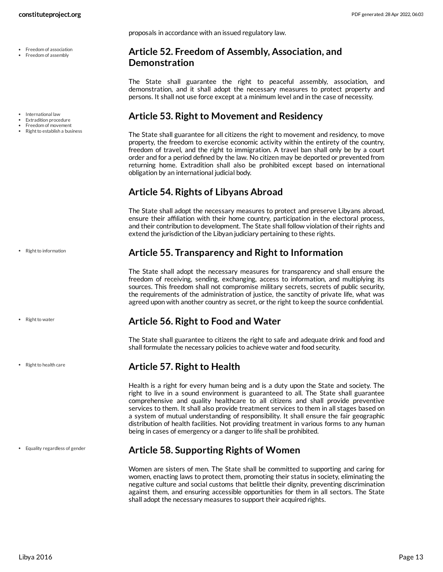- Freedom of association • Freedom of assembly
- International law
- Extradition procedure
- Freedom of movement
- Right to establish a business

• Right to information

- Right to water
- Right to health care

Equality regardless of gender

proposals in accordance with an issued regulatory law.

## <span id="page-12-0"></span>**Article 52. Freedom of Assembly, Association, and Demonstration**

The State shall guarantee the right to peaceful assembly, association, and demonstration, and it shall adopt the necessary measures to protect property and persons. It shall not use force except at a minimum level and in the case of necessity.

# <span id="page-12-1"></span>**Article 53. Right to Movement and Residency**

The State shall guarantee for all citizens the right to movement and residency, to move property, the freedom to exercise economic activity within the entirety of the country, freedom of travel, and the right to immigration. A travel ban shall only be by a court order and for a period defined by the law. No citizen may be deported or prevented from returning home. Extradition shall also be prohibited except based on international obligation by an international judicial body.

# <span id="page-12-2"></span>**Article 54. Rights of Libyans Abroad**

The State shall adopt the necessary measures to protect and preserve Libyans abroad, ensure their affiliation with their home country, participation in the electoral process, and their contribution to development. The State shall follow violation of their rights and extend the jurisdiction of the Libyan judiciary pertaining to these rights.

## <span id="page-12-3"></span>**Article 55. Transparency and Right to Information**

The State shall adopt the necessary measures for transparency and shall ensure the freedom of receiving, sending, exchanging, access to information, and multiplying its sources. This freedom shall not compromise military secrets, secrets of public security, the requirements of the administration of justice, the sanctity of private life, what was agreed upon with another country as secret, or the right to keep the source confidential.

# <span id="page-12-4"></span>**Article 56. Right to Food and Water**

The State shall guarantee to citizens the right to safe and adequate drink and food and shall formulate the necessary policies to achieve water and food security.

# <span id="page-12-5"></span>**Article 57. Right to Health**

Health is a right for every human being and is a duty upon the State and society. The right to live in a sound environment is guaranteed to all. The State shall guarantee comprehensive and quality healthcare to all citizens and shall provide preventive services to them. It shall also provide treatment services to them in all stages based on a system of mutual understanding of responsibility. It shall ensure the fair geographic distribution of health facilities. Not providing treatment in various forms to any human being in cases of emergency or a danger to life shall be prohibited.

# <span id="page-12-6"></span>**Article 58. Supporting Rights of Women**

<span id="page-12-7"></span>Women are sisters of men. The State shall be committed to supporting and caring for women, enacting laws to protect them, promoting their status in society, eliminating the negative culture and social customs that belittle their dignity, preventing discrimination against them, and ensuring accessible opportunities for them in all sectors. The State shall adopt the necessary measures to support their acquired rights.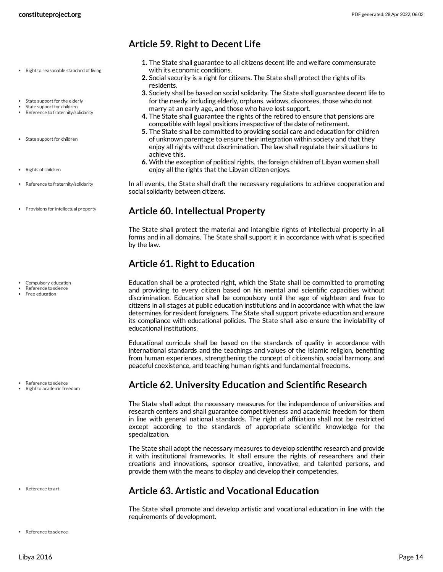- Right to reasonable standard of living
- State support for the elderly
- State support for children • Reference to fraternity/solidarity
- State support for children
- Rights of children
- Reference to fraternity/solidarity
- Provisions for intellectual property

- Compulsory education
- Reference to science Free education
- 

- Reference to science
- Right to academic freedom

Reference to art

# <span id="page-13-0"></span>**Article 59. Right to Decent Life**

- **1.** The State shall guarantee to all citizens decent life and welfare commensurate with its economic conditions.
- **2.** Social security is a right for citizens. The State shall protect the rights of its residents.
- **3.** Society shall be based on social solidarity. The State shall guarantee decent life to for the needy, including elderly, orphans, widows, divorcees, those who do not marry at an early age, and those who have lost support.
- **4.** The State shall guarantee the rights of the retired to ensure that pensions are compatible with legal positions irrespective of the date of retirement.
- **5.** The State shall be committed to providing social care and education for children of unknown parentage to ensure their integration within society and that they enjoy all rights without discrimination. The law shall regulate their situations to achieve this.
- **6.** With the exception of political rights, the foreign children of Libyan women shall enjoy all the rights that the Libyan citizen enjoys.

<span id="page-13-6"></span>In all events, the State shall draft the necessary regulations to achieve cooperation and social solidarity between citizens.

## <span id="page-13-1"></span>**Article 60. Intellectual Property**

The State shall protect the material and intangible rights of intellectual property in all forms and in all domains. The State shall support it in accordance with what is specified by the law.

# <span id="page-13-2"></span>**Article 61. Right to Education**

<span id="page-13-5"></span>Education shall be a protected right, which the State shall be committed to promoting and providing to every citizen based on his mental and scientific capacities without discrimination. Education shall be compulsory until the age of eighteen and free to citizens in all stages at public education institutions and in accordance with what the law determines for resident foreigners. The State shall support private education and ensure its compliance with educational policies. The State shall also ensure the inviolability of educational institutions.

Educational curricula shall be based on the standards of quality in accordance with international standards and the teachings and values of the Islamic religion, benefiting from human experiences, strengthening the concept of citizenship, social harmony, and peaceful coexistence, and teaching human rights and fundamental freedoms.

# <span id="page-13-3"></span>**Article 62. University Education and Scientific Research**

The State shall adopt the necessary measures for the independence of universities and research centers and shall guarantee competitiveness and academic freedom for them in line with general national standards. The right of affiliation shall not be restricted except according to the standards of appropriate scientific knowledge for the specialization.

The State shall adopt the necessary measures to develop scientific research and provide it with institutional frameworks. It shall ensure the rights of researchers and their creations and innovations, sponsor creative, innovative, and talented persons, and provide them with the means to display and develop their competencies.

# <span id="page-13-4"></span>**Article 63. Artistic and Vocational Education**

The State shall promote and develop artistic and vocational education in line with the requirements of development.

• Reference to science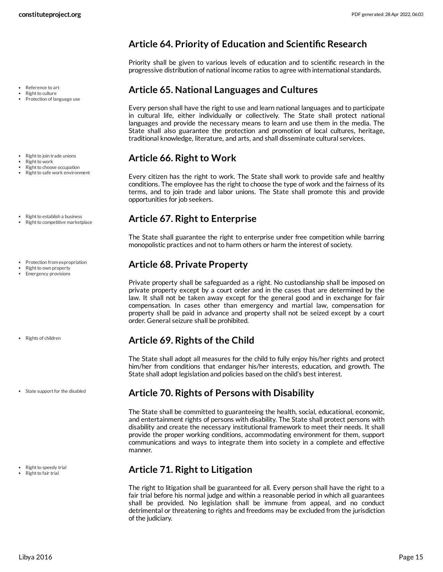- Reference to art
- Right to culture Protection of language use
- Right to join trade unions
- Right to work
- Right to choose occupation • Right to safe work environment
- 
- Right to establish a business
- Right to competitive marketplace
- Protection from expropriation
- Right to own property **•** Emergency provisions

- Rights of children
- State support for the disabled

- Right to speedy trial
- Right to fair trial

# <span id="page-14-0"></span>**Article 64. Priority of Education and Scientific Research**

Priority shall be given to various levels of education and to scientific research in the progressive distribution of national income ratios to agree with international standards.

# <span id="page-14-1"></span>**Article 65. National Languages and Cultures**

Every person shall have the right to use and learn national languages and to participate in cultural life, either individually or collectively. The State shall protect national languages and provide the necessary means to learn and use them in the media. The State shall also guarantee the protection and promotion of local cultures, heritage, traditional knowledge, literature, and arts, and shall disseminate cultural services.

# <span id="page-14-2"></span>**Article 66. Right to Work**

Every citizen has the right to work. The State shall work to provide safe and healthy conditions. The employee has the right to choose the type of work and the fairness of its terms, and to join trade and labor unions. The State shall promote this and provide opportunities for job seekers.

# <span id="page-14-3"></span>**Article 67. Right to Enterprise**

The State shall guarantee the right to enterprise under free competition while barring monopolistic practices and not to harm others or harm the interest of society.

# <span id="page-14-4"></span>**Article 68. Private Property**

Private property shall be safeguarded as a right. No custodianship shall be imposed on private property except by a court order and in the cases that are determined by the law. It shall not be taken away except for the general good and in exchange for fair compensation. In cases other than emergency and martial law, compensation for property shall be paid in advance and property shall not be seized except by a court order. General seizure shall be prohibited.

# <span id="page-14-5"></span>**Article 69. Rights of the Child**

The State shall adopt all measures for the child to fully enjoy his/her rights and protect him/her from conditions that endanger his/her interests, education, and growth. The State shall adopt legislation and policies based on the child's best interest.

## <span id="page-14-6"></span>**Article 70. Rights of Persons with Disability**

The State shall be committed to guaranteeing the health, social, educational, economic, and entertainment rights of persons with disability. The State shall protect persons with disability and create the necessary institutional framework to meet their needs. It shall provide the proper working conditions, accommodating environment for them, support communications and ways to integrate them into society in a complete and effective manner.

# <span id="page-14-7"></span>**Article 71. Right to Litigation**

The right to litigation shall be guaranteed for all. Every person shall have the right to a fair trial before his normal judge and within a reasonable period in which all guarantees shall be provided. No legislation shall be immune from appeal, and no conduct detrimental or threatening to rights and freedoms may be excluded from the jurisdiction of the judiciary.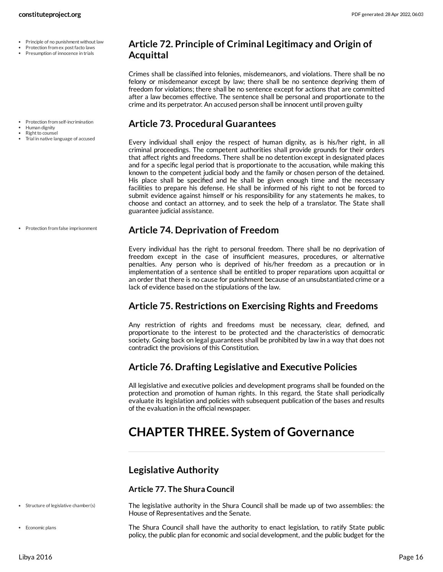- Principle of no punishment without law
- Protection from ex post facto laws
- Presumption of innocence in trials

- Protection from self-incrimination
- Human dignity
- Right to counsel
- Trial in native language of accused

# <span id="page-15-0"></span>**Article 72. Principle of Criminal Legitimacy and Origin of Acquittal**

Crimes shall be classified into felonies, misdemeanors, and violations. There shall be no felony or misdemeanor except by law; there shall be no sentence depriving them of freedom for violations; there shall be no sentence except for actions that are committed after a law becomes effective. The sentence shall be personal and proportionate to the crime and its perpetrator. An accused person shall be innocent until proven guilty

## <span id="page-15-1"></span>**Article 73. Procedural Guarantees**

Every individual shall enjoy the respect of human dignity, as is his/her right, in all criminal proceedings. The competent authorities shall provide grounds for their orders that affect rights and freedoms. There shall be no detention except in designated places and for a specific legal period that is proportionate to the accusation, while making this known to the competent judicial body and the family or chosen person of the detained. His place shall be specified and he shall be given enough time and the necessary facilities to prepare his defense. He shall be informed of his right to not be forced to submit evidence against himself or his responsibility for any statements he makes, to choose and contact an attorney, and to seek the help of a translator. The State shall guarantee judicial assistance.

## <span id="page-15-2"></span>**Article 74. Deprivation of Freedom**

Every individual has the right to personal freedom. There shall be no deprivation of freedom except in the case of insufficient measures, procedures, or alternative penalties. Any person who is deprived of his/her freedom as a precaution or in implementation of a sentence shall be entitled to proper reparations upon acquittal or an order that there is no cause for punishment because of an unsubstantiated crime or a lack of evidence based on the stipulations of the law.

# <span id="page-15-3"></span>**Article 75. Restrictions on Exercising Rights and Freedoms**

Any restriction of rights and freedoms must be necessary, clear, defined, and proportionate to the interest to be protected and the characteristics of democratic society. Going back on legal guarantees shall be prohibited by law in a way that does not contradict the provisions of this Constitution.

# <span id="page-15-4"></span>**Article 76. Drafting Legislative and Executive Policies**

All legislative and executive policies and development programs shall be founded on the protection and promotion of human rights. In this regard, the State shall periodically evaluate its legislation and policies with subsequent publication of the bases and results of the evaluation in the official newspaper.

# <span id="page-15-5"></span>**CHAPTER THREE. System of Governance**

# <span id="page-15-6"></span>**Legislative Authority**

## **Article 77. The Shura Council**

<span id="page-15-8"></span>The legislative authority in the Shura Council shall be made up of two assemblies: the House of Representatives and the Senate.

<span id="page-15-7"></span>The Shura Council shall have the authority to enact legislation, to ratify State public policy, the public plan for economic and social development, and the public budget for the

• Protection from false imprisonment

• Economic plans

• Structure of legislative chamber(s)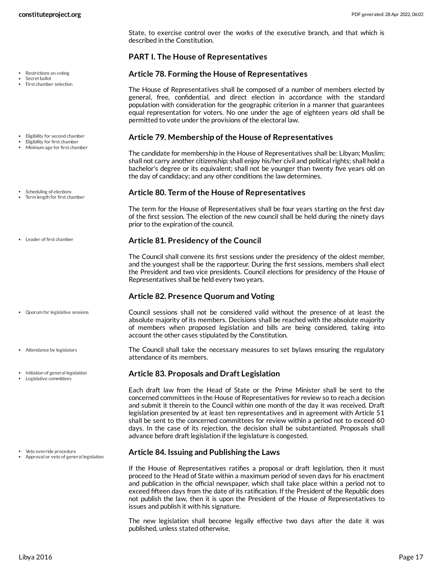State, to exercise control over the works of the executive branch, and that which is described in the Constitution.

## **PART I. The House of Representatives**

### <span id="page-16-3"></span>**Article 78. Forming the House of Representatives**

The House of Representatives shall be composed of a number of members elected by general, free, confidential, and direct election in accordance with the standard population with consideration for the geographic criterion in a manner that guarantees equal representation for voters. No one under the age of eighteen years old shall be permitted to vote under the provisions of the electoral law.

### <span id="page-16-2"></span>**Article 79. Membership of the House of Representatives**

The candidate for membership in the House of Representatives shall be: Libyan; Muslim; shall not carry another citizenship; shall enjoy his/her civil and political rights; shall hold a bachelor's degree or its equivalent; shall not be younger than twenty five years old on the day of candidacy; and any other conditions the law determines.

### <span id="page-16-7"></span>**Article 80. Term of the House of Representatives**

The term for the House of Representatives shall be four years starting on the first day of the first session. The election of the new council shall be held during the ninety days prior to the expiration of the council.

## <span id="page-16-5"></span>**Article 81. Presidency of the Council**

The Council shall convene its first sessions under the presidency of the oldest member, and the youngest shall be the rapporteur. During the first sessions, members shall elect the President and two vice presidents. Council elections for presidency of the House of Representatives shall be held every two years.

## **Article 82. Presence Quorum and Voting**

<span id="page-16-6"></span>Council sessions shall not be considered valid without the presence of at least the absolute majority of its members. Decisions shall be reached with the absolute majority of members when proposed legislation and bills are being considered, taking into account the other cases stipulated by the Constitution.

<span id="page-16-1"></span>The Council shall take the necessary measures to set bylaws ensuring the regulatory attendance of its members.

## <span id="page-16-4"></span>**Article 83. Proposals and Draft Legislation**

Each draft law from the Head of State or the Prime Minister shall be sent to the concerned committees in the House of Representatives for review so to reach a decision and submit it therein to the Council within one month of the day it was received. Draft legislation presented by at least ten representatives and in agreement with Article 51 shall be sent to the concerned committees for review within a period not to exceed 60 days. In the case of its rejection, the decision shall be substantiated. Proposals shall advance before draft legislation if the legislature is congested.

## <span id="page-16-0"></span>**Article 84. Issuing and Publishing the Laws**

If the House of Representatives ratifies a proposal or draft legislation, then it must proceed to the Head of State within a maximum period of seven days for his enactment and publication in the official newspaper, which shall take place within a period not to exceed fifteen days from the date of its ratification. If the President of the Republic does not publish the law, then it is upon the President of the House of Representatives to issues and publish it with his signature.

The new legislation shall become legally effective two days after the date it was published, unless stated otherwise.

First chamber selection

• Restrictions on voting Secret ballot

- Eligibility for second chamber
- Eligibility for first chamber Minimum age for first chamber
- Scheduling of elections Term length for first chamber
- Leader of first chamber

- Quorum for legislative sessions
- Attendance by legislators
- Initiation of general legislation
- Legislative committees

- Veto override procedure
- Approval or veto of general legislation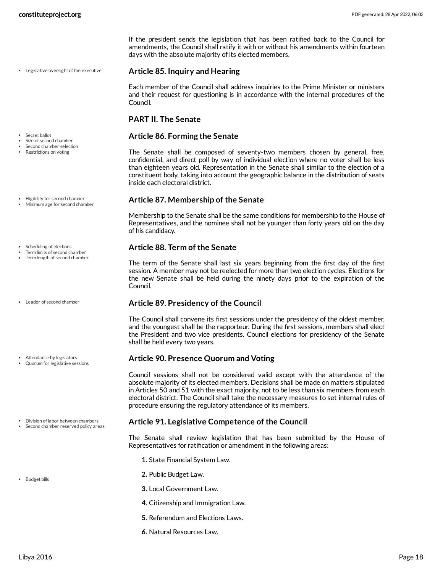Legislative oversight of the executive

Size of second chamber Second chamber selection • Restrictions on voting

• Secret ballot

- Eligibility for second chamber
- Minimum age for second chamber
- Scheduling of elections
- Term limits of second chamber
- Term length of second chamber
- Leader of second chamber
- Attendance by legislators Quorum for legislative sessions
- Division of labor between chambers
- Second chamber reserved policy areas
- Budget bills

If the president sends the legislation that has been ratified back to the Council for amendments, the Council shall ratify it with or without his amendments within fourteen days with the absolute majority of its elected members.

#### <span id="page-17-5"></span>**Article 85. Inquiry and Hearing**

Each member of the Council shall address inquiries to the Prime Minister or ministers and their request for questioning is in accordance with the internal procedures of the Council.

#### **PART II. The Senate**

### <span id="page-17-6"></span>**Article 86. Forming the Senate**

The Senate shall be composed of seventy-two members chosen by general, free, confidential, and direct poll by way of individual election where no voter shall be less than eighteen years old. Representation in the Senate shall similar to the election of a constituent body, taking into account the geographic balance in the distribution of seats inside each electoral district.

#### <span id="page-17-3"></span>**Article 87. Membership of the Senate**

Membership to the Senate shall be the same conditions for membership to the House of Representatives, and the nominee shall not be younger than forty years old on the day of his candidacy.

## <span id="page-17-7"></span>**Article 88. Term of the Senate**

The term of the Senate shall last six years beginning from the first day of the first session. A member may not be reelected for more than two election cycles. Elections for the new Senate shall be held during the ninety days prior to the expiration of the Council.

#### <span id="page-17-4"></span>**Article 89. Presidency of the Council**

The Council shall convene its first sessions under the presidency of the oldest member, and the youngest shall be the rapporteur. During the first sessions, members shall elect the President and two vice presidents. Council elections for presidency of the Senate shall be held every two years.

#### <span id="page-17-0"></span>**Article 90. Presence Quorum and Voting**

Council sessions shall not be considered valid except with the attendance of the absolute majority of its elected members. Decisions shall be made on matters stipulated in Articles 50 and 51 with the exact majority, not to be less than six members from each electoral district. The Council shall take the necessary measures to set internal rules of procedure ensuring the regulatory attendance of its members.

#### <span id="page-17-2"></span>**Article 91. Legislative Competence of the Council**

<span id="page-17-1"></span>The Senate shall review legislation that has been submitted by the House of Representatives for ratification or amendment in the following areas:

- **1.** State Financial System Law.
- **2.** Public Budget Law.
- **3.** Local Government Law.
- **4.** Citizenship and Immigration Law.
- **5.** Referendum and Elections Laws.
- **6.** Natural Resources Law.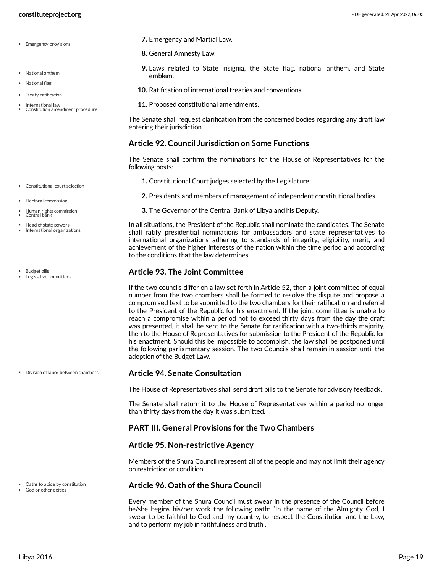- Emergency provisions
- National anthem
- National flag
- Treaty ratification
- International law Constitution amendment procedure
- **7.** Emergency and Martial Law.
- **8.** General Amnesty Law.
- **9.** Laws related to State insignia, the State flag, national anthem, and State emblem.
- **10.** Ratification of international treaties and conventions.
- **11.** Proposed constitutional amendments.

The Senate shall request clarification from the concerned bodies regarding any draft law entering their jurisdiction.

### **Article 92. Council Jurisdiction on Some Functions**

<span id="page-18-1"></span>The Senate shall confirm the nominations for the House of Representatives for the following posts:

- **1.** Constitutional Court judges selected by the Legislature.
- **2.** Presidents and members of management of independent constitutional bodies.
- **3.** The Governor of the Central Bank of Libya and his Deputy.

<span id="page-18-4"></span>In all situations, the President of the Republic shall nominate the candidates. The Senate shall ratify presidential nominations for ambassadors and state representatives to international organizations adhering to standards of integrity, eligibility, merit, and achievement of the higher interests of the nation within the time period and according to the conditions that the law determines.

## <span id="page-18-0"></span>**Article 93. The Joint Committee**

If the two councils differ on a law set forth in Article 52, then a joint committee of equal number from the two chambers shall be formed to resolve the dispute and propose a compromised text to be submitted to the two chambers for their ratification and referral to the President of the Republic for his enactment. If the joint committee is unable to reach a compromise within a period not to exceed thirty days from the day the draft was presented, it shall be sent to the Senate for ratification with a two-thirds majority, then to the House of Representatives for submission to the President of the Republic for his enactment. Should this be impossible to accomplish, the law shall be postponed until the following parliamentary session. The two Councils shall remain in session until the adoption of the Budget Law.

## <span id="page-18-2"></span>**Article 94. Senate Consultation**

The House of Representatives shall send draft bills to the Senate for advisory feedback.

The Senate shall return it to the House of Representatives within a period no longer than thirty days from the day it was submitted.

## **PART III. General Provisions for the Two Chambers**

## **Article 95. Non-restrictive Agency**

Members of the Shura Council represent all of the people and may not limit their agency on restriction or condition.

## <span id="page-18-3"></span>**Article 96. Oath of the Shura Council**

Every member of the Shura Council must swear in the presence of the Council before he/she begins his/her work the following oath: "In the name of the Almighty God, I swear to be faithful to God and my country, to respect the Constitution and the Law, and to perform my job in faithfulness and truth".

- Constitutional court selection
- Electoral commission
- Human rights commission Central bank
- Head of state powers
- International organizations
- Budget bills
- Legislative committees

Division of labor between chambers

God or other deities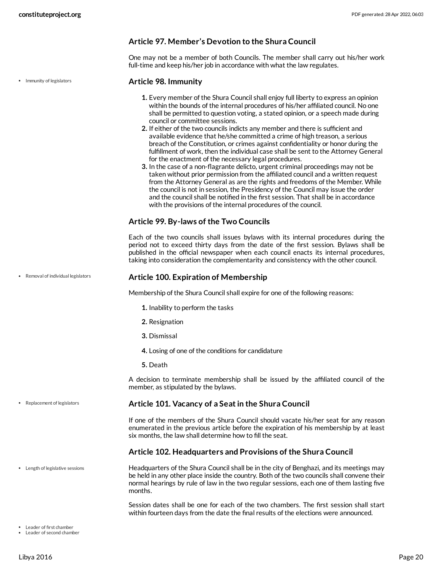## **Article 97. Member's Devotion to the Shura Council**

One may not be a member of both Councils. The member shall carry out his/her work full-time and keep his/her job in accordance with what the law regulates.

• Immunity of legislators

Removal of individual legislators

#### <span id="page-19-0"></span>**Article 98. Immunity**

- **1.** Every member of the Shura Council shall enjoy full liberty to express an opinion within the bounds of the internal procedures of his/her affiliated council. No one shall be permitted to question voting, a stated opinion, or a speech made during council or committee sessions.
- **2.** If either of the two councils indicts any member and there is sufficient and available evidence that he/she committed a crime of high treason, a serious breach of the Constitution, or crimes against confidentiality or honor during the fulfillment of work, then the individual case shall be sent to the Attorney General for the enactment of the necessary legal procedures.
- **3.** In the case of a non-flagrante delicto, urgent criminal proceedings may not be taken without prior permission from the affiliated council and a written request from the Attorney General as are the rights and freedoms of the Member. While the council is not in session, the Presidency of the Council may issue the order and the council shall be notified in the first session. That shall be in accordance with the provisions of the internal procedures of the council.

#### **Article 99. By-laws of the Two Councils**

Each of the two councils shall issues bylaws with its internal procedures during the period not to exceed thirty days from the date of the first session. Bylaws shall be published in the official newspaper when each council enacts its internal procedures, taking into consideration the complementarity and consistency with the other council.

#### **Article 100. Expiration of Membership**

<span id="page-19-3"></span>Membership of the Shura Council shall expire for one of the following reasons:

- **1.** Inability to perform the tasks
- **2.** Resignation
- **3.** Dismissal
- **4.** Losing of one of the conditions for candidature
- **5.** Death

A decision to terminate membership shall be issued by the affiliated council of the member, as stipulated by the bylaws.

#### <span id="page-19-4"></span>**Article 101. Vacancy of a Seatin the Shura Council**

If one of the members of the Shura Council should vacate his/her seat for any reason enumerated in the previous article before the expiration of his membership by at least six months, the law shall determine how to fill the seat.

#### <span id="page-19-2"></span>**Article 102. Headquarters and Provisions of the Shura Council**

Headquarters of the Shura Council shall be in the city of Benghazi, and its meetings may be held in any other place inside the country. Both of the two councils shall convene their normal hearings by rule of law in the two regular sessions, each one of them lasting five months. Length of legislative sessions

> <span id="page-19-1"></span>Session dates shall be one for each of the two chambers. The first session shall start within fourteen days from the date the final results of the elections were announced.

Leader of first chamber

Replacement of legislators

Leader of second chamber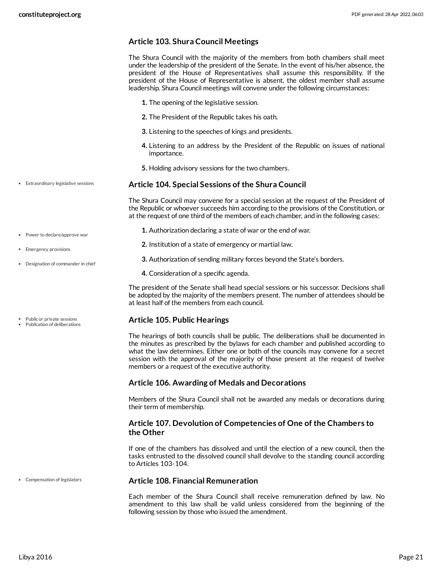## **Article 103. Shura Council Meetings**

The Shura Council with the majority of the members from both chambers shall meet under the leadership of the president of the Senate. In the event of his/her absence, the president of the House of Representatives shall assume this responsibility. If the president of the House of Representative is absent, the oldest member shall assume leadership. Shura Council meetings will convene under the following circumstances:

- **1.** The opening of the legislative session.
- **2.** The President of the Republic takes his oath.
- **3.** Listening to the speeches of kings and presidents.
- **4.** Listening to an address by the President of the Republic on issues of national importance.
- **5.** Holding advisory sessions for the two chambers.

#### <span id="page-20-2"></span>**Article 104. Special Sessions of the Shura Council**

<span id="page-20-1"></span>The Shura Council may convene for a special session at the request of the President of the Republic or whoever succeeds him according to the provisions of the Constitution, or at the request of one third of the members of each chamber, and in the following cases:

- **1.** Authorization declaring a state of war or the end of war.
	- **2.** Institution of a state of emergency or martial law.
	- **3.** Authorization of sending military forces beyond the State's borders.
	- **4.** Consideration of a specific agenda.

The president of the Senate shall head special sessions or his successor. Decisions shall be adopted by the majority of the members present. The number of attendees should be at least half of the members from each council.

## <span id="page-20-3"></span>**Article 105. Public Hearings**

The hearings of both councils shall be public. The deliberations shall be documented in the minutes as prescribed by the bylaws for each chamber and published according to what the law determines. Either one or both of the councils may convene for a secret session with the approval of the majority of those present at the request of twelve members or a request of the executive authority.

#### **Article 106. Awarding of Medals and Decorations**

Members of the Shura Council shall not be awarded any medals or decorations during their term of membership.

## **Article 107. Devolution of Competencies of One of the Chambers to the Other**

If one of the chambers has dissolved and until the election of a new council, then the tasks entrusted to the dissolved council shall devolve to the standing council according to Articles 103-104.

#### <span id="page-20-0"></span>**Article 108. Financial Remuneration**

Each member of the Shura Council shall receive remuneration defined by law. No amendment to this law shall be valid unless considered from the beginning of the following session by those who issued the amendment.

Power to declare/approve war

Extraordinary legislative sessions

- Emergency provisions
- Designation of commander in chief
- Public or private sessions
- Publication of deliberations

Compensation of legislators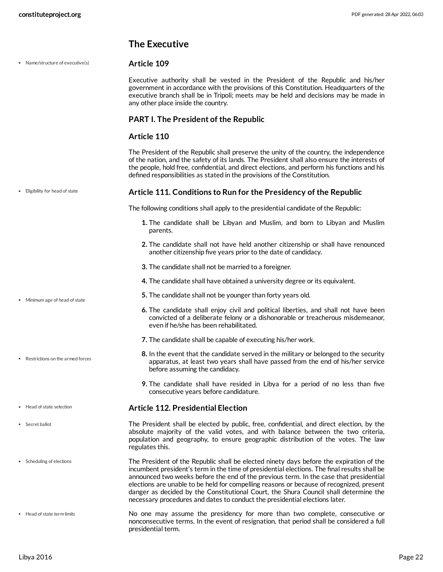# <span id="page-21-5"></span><span id="page-21-4"></span><span id="page-21-2"></span><span id="page-21-1"></span><span id="page-21-0"></span>**The Executive**

<span id="page-21-7"></span><span id="page-21-6"></span><span id="page-21-3"></span>

| Name/structure of executive(s)     | Article 109                                                                                                                                                                                                                                                                                                                                                                                                                                                                                                                                          |
|------------------------------------|------------------------------------------------------------------------------------------------------------------------------------------------------------------------------------------------------------------------------------------------------------------------------------------------------------------------------------------------------------------------------------------------------------------------------------------------------------------------------------------------------------------------------------------------------|
|                                    | Executive authority shall be vested in the President of the Republic and his/her<br>government in accordance with the provisions of this Constitution. Headquarters of the<br>executive branch shall be in Tripoli; meets may be held and decisions may be made in<br>any other place inside the country.                                                                                                                                                                                                                                            |
|                                    | <b>PART I. The President of the Republic</b>                                                                                                                                                                                                                                                                                                                                                                                                                                                                                                         |
|                                    | Article 110                                                                                                                                                                                                                                                                                                                                                                                                                                                                                                                                          |
|                                    | The President of the Republic shall preserve the unity of the country, the independence<br>of the nation, and the safety of its lands. The President shall also ensure the interests of<br>the people, hold free, confidential, and direct elections, and perform his functions and his<br>defined responsibilities as stated in the provisions of the Constitution.                                                                                                                                                                                 |
| Eligibility for head of state<br>۰ | Article 111. Conditions to Run for the Presidency of the Republic                                                                                                                                                                                                                                                                                                                                                                                                                                                                                    |
|                                    | The following conditions shall apply to the presidential candidate of the Republic:                                                                                                                                                                                                                                                                                                                                                                                                                                                                  |
|                                    | 1. The candidate shall be Libyan and Muslim, and born to Libyan and Muslim<br>parents.                                                                                                                                                                                                                                                                                                                                                                                                                                                               |
|                                    | 2. The candidate shall not have held another citizenship or shall have renounced<br>another citizenship five years prior to the date of candidacy.                                                                                                                                                                                                                                                                                                                                                                                                   |
|                                    | 3. The candidate shall not be married to a foreigner.                                                                                                                                                                                                                                                                                                                                                                                                                                                                                                |
|                                    | 4. The candidate shall have obtained a university degree or its equivalent.                                                                                                                                                                                                                                                                                                                                                                                                                                                                          |
| Minimum age of head of state       | 5. The candidate shall not be younger than forty years old.                                                                                                                                                                                                                                                                                                                                                                                                                                                                                          |
|                                    | 6. The candidate shall enjoy civil and political liberties, and shall not have been<br>convicted of a deliberate felony or a dishonorable or treacherous misdemeanor,<br>even if he/she has been rehabilitated.                                                                                                                                                                                                                                                                                                                                      |
|                                    | 7. The candidate shall be capable of executing his/her work.                                                                                                                                                                                                                                                                                                                                                                                                                                                                                         |
| Restrictions on the armed forces   | 8. In the event that the candidate served in the military or belonged to the security<br>apparatus, at least two years shall have passed from the end of his/her service<br>before assuming the candidacy.                                                                                                                                                                                                                                                                                                                                           |
|                                    | 9. The candidate shall have resided in Libya for a period of no less than five<br>consecutive years before candidature.                                                                                                                                                                                                                                                                                                                                                                                                                              |
| • Head of state selection          | <b>Article 112. Presidential Election</b>                                                                                                                                                                                                                                                                                                                                                                                                                                                                                                            |
| Secret ballot                      | The President shall be elected by public, free, confidential, and direct election, by the<br>absolute majority of the valid votes, and with balance between the two criteria,<br>population and geography, to ensure geographic distribution of the votes. The law<br>regulates this.                                                                                                                                                                                                                                                                |
| Scheduling of elections            | The President of the Republic shall be elected ninety days before the expiration of the<br>incumbent president's term in the time of presidential elections. The final results shall be<br>announced two weeks before the end of the previous term. In the case that presidential<br>elections are unable to be held for compelling reasons or because of recognized, present<br>danger as decided by the Constitutional Court, the Shura Council shall determine the<br>necessary procedures and dates to conduct the presidential elections later. |
| Head of state term limits          | No one may assume the presidency for more than two complete, consecutive or<br>nonconsecutive terms. In the event of resignation, that period shall be considered a full<br>presidential term.                                                                                                                                                                                                                                                                                                                                                       |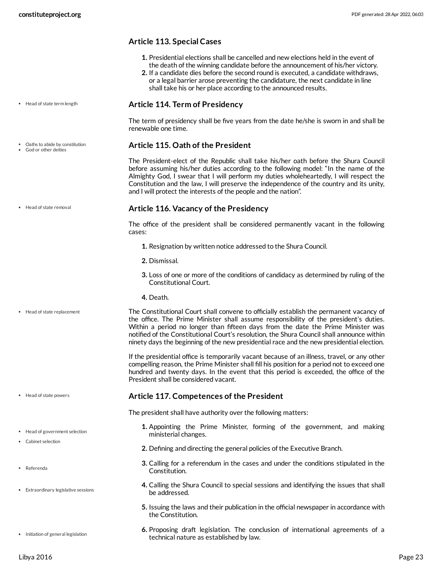## **Article 113. Special Cases**

- **1.** Presidential elections shall be cancelled and new elections held in the event of the death of the winning candidate before the announcement of his/her victory.
- **2.** If a candidate dies before the second round is executed, a candidate withdraws, or a legal barrier arose preventing the candidature, the next candidate in line shall take his or her place according to the announced results.

#### <span id="page-22-5"></span>**Article 114. Term of Presidency**

The term of presidency shall be five years from the date he/she is sworn in and shall be renewable one time.

### <span id="page-22-1"></span>**Article 115. Oath of the President**

The President-elect of the Republic shall take his/her oath before the Shura Council before assuming his/her duties according to the following model: "In the name of the Almighty God, I swear that I will perform my duties wholeheartedly, I will respect the Constitution and the law, I will preserve the independence of the country and its unity, and I will protect the interests of the people and the nation".

#### <span id="page-22-3"></span>**Article 116. Vacancy of the Presidency**

The office of the president shall be considered permanently vacant in the following cases:

- **1.** Resignation by written notice addressed to the Shura Council.
- **2.** Dismissal.
- **3.** Loss of one or more of the conditions of candidacy as determined by ruling of the Constitutional Court.
- <span id="page-22-4"></span>**4.** Death.

The Constitutional Court shall convene to officially establish the permanent vacancy of the office. The Prime Minister shall assume responsibility of the president's duties. Within a period no longer than fifteen days from the date the Prime Minister was notified of the Constitutional Court's resolution, the Shura Council shall announce within ninety days the beginning of the new presidential race and the new presidential election.

If the presidential office is temporarily vacant because of an illness, travel, or any other compelling reason, the Prime Minister shall fill his position for a period not to exceed one hundred and twenty days. In the event that this period is exceeded, the office of the President shall be considered vacant.

#### <span id="page-22-2"></span>**Article 117. Competences of the President**

<span id="page-22-0"></span>The president shall have authority over the following matters:

- **1.** Appointing the Prime Minister, forming of the government, and making ministerial changes.
- **2.** Defining and directing the general policies of the Executive Branch.
- **3.** Calling for a referendum in the cases and under the conditions stipulated in the Constitution.
- **4.** Calling the Shura Council to special sessions and identifying the issues that shall be addressed.
- **5.** Issuing the laws and their publication in the official newspaper in accordance with the Constitution.
- **6.** Proposing draft legislation. The conclusion of international agreements of a technical nature as established by law.
- Head of state term length
- 

Oaths to abide by constitution God or other deities

• Head of state removal

Head of state replacement

- Head of state powers
- Head of government selection
- Cabinet selection
- Referenda
- Extraordinary legislative sessions

• Initiation of general legislation

Libya 2016 Page 23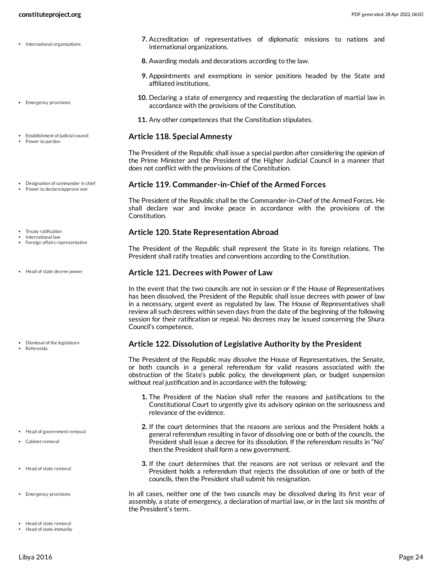- International organizations
- Emergency provisions
- Establishment of judicial council
- Power to pardon
- Designation of commander in chief Power to declare/approve war
- Treaty ratification
- International law
- Foreign affairs representative
- Head of state decree power

- Dismissal of the legislature
- Referenda

- Head of government removal
- Cabinet removal
- Head of state removal
- **Emergency provisions**
- Head of state removal
- Head of state immunity
- **7.** Accreditation of representatives of diplomatic missions to nations and international organizations.
- **8.** Awarding medals and decorations according to the law.
- **9.** Appointments and exemptions in senior positions headed by the State and affiliated institutions.
- **10.** Declaring a state of emergency and requesting the declaration of martial law in accordance with the provisions of the Constitution.
- **11.** Any other competences that the Constitution stipulates.

#### <span id="page-23-4"></span>**Article 118. Special Amnesty**

The President of the Republic shall issue a special pardon after considering the opinion of the Prime Minister and the President of the Higher Judicial Council in a manner that does not conflict with the provisions of the Constitution.

#### <span id="page-23-1"></span>**Article 119. Commander-in-Chief of the Armed Forces**

The President of the Republic shall be the Commander-in-Chief of the Armed Forces. He shall declare war and invoke peace in accordance with the provisions of the Constitution.

#### <span id="page-23-5"></span>**Article 120. State Representation Abroad**

The President of the Republic shall represent the State in its foreign relations. The President shall ratify treaties and conventions according to the Constitution.

#### <span id="page-23-6"></span>**Article 121. Decrees with Power of Law**

In the event that the two councils are not in session or if the House of Representatives has been dissolved, the President of the Republic shall issue decrees with power of law in a necessary, urgent event as regulated by law. The House of Representatives shall review all such decrees within seven days from the date of the beginning of the following session for their ratification or repeal. No decrees may be issued concerning the Shura Council's competence.

#### <span id="page-23-2"></span>**Article 122. Dissolution of Legislative Authority by the President**

<span id="page-23-0"></span>The President of the Republic may dissolve the House of Representatives, the Senate, or both councils in a general referendum for valid reasons associated with the obstruction of the State's public policy, the development plan, or budget suspension without real justification and in accordance with the following:

- **1.** The President of the Nation shall refer the reasons and justifications to the Constitutional Court to urgently give its advisory opinion on the seriousness and relevance of the evidence.
- **2.** If the court determines that the reasons are serious and the President holds a general referendum resulting in favor of dissolving one or both of the councils, the President shall issue a decree for its dissolution. If the referendum results in "No" then the President shall form a new government.
- **3.** If the court determines that the reasons are not serious or relevant and the President holds a referendum that rejects the dissolution of one or both of the councils, then the President shall submit his resignation.
- <span id="page-23-7"></span><span id="page-23-3"></span>In all cases, neither one of the two councils may be dissolved during its first year of assembly, a state of emergency, a declaration of martial law, or in the last six months of the President's term.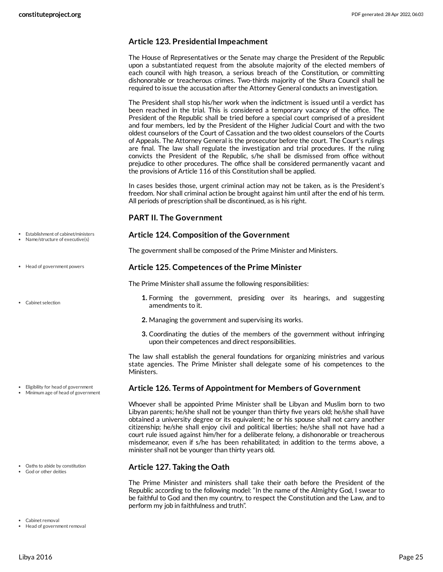## **Article 123. Presidential Impeachment**

The House of Representatives or the Senate may charge the President of the Republic upon a substantiated request from the absolute majority of the elected members of each council with high treason, a serious breach of the Constitution, or committing dishonorable or treacherous crimes. Two-thirds majority of the Shura Council shall be required to issue the accusation after the Attorney General conducts an investigation.

The President shall stop his/her work when the indictment is issued until a verdict has been reached in the trial. This is considered a temporary vacancy of the office. The President of the Republic shall be tried before a special court comprised of a president and four members, led by the President of the Higher Judicial Court and with the two oldest counselors of the Court of Cassation and the two oldest counselors of the Courts of Appeals. The Attorney General is the prosecutor before the court. The Court's rulings are final. The law shall regulate the investigation and trial procedures. If the ruling convicts the President of the Republic, s/he shall be dismissed from office without prejudice to other procedures. The office shall be considered permanently vacant and the provisions of Article 116 of this Constitution shall be applied.

In cases besides those, urgent criminal action may not be taken, as is the President's freedom. Nor shall criminal action be brought against him until after the end of his term. All periods of prescription shall be discontinued, as is his right.

### **PART II. The Government**

#### <span id="page-24-3"></span>**Article 124. Composition of the Government**

The government shall be composed of the Prime Minister and Ministers.

## <span id="page-24-5"></span>**Article 125. Competences of the Prime Minister**

<span id="page-24-1"></span>The Prime Minister shall assume the following responsibilities:

- **1.** Forming the government, presiding over its hearings, and suggesting amendments to it.
- **2.** Managing the government and supervising its works.
- **3.** Coordinating the duties of the members of the government without infringing upon their competences and direct responsibilities.

The law shall establish the general foundations for organizing ministries and various state agencies. The Prime Minister shall delegate some of his competences to the Ministers.

#### <span id="page-24-2"></span>**Article 126. Terms of Appointmentfor Members of Government**

Whoever shall be appointed Prime Minister shall be Libyan and Muslim born to two Libyan parents; he/she shall not be younger than thirty five years old; he/she shall have obtained a university degree or its equivalent; he or his spouse shall not carry another citizenship; he/she shall enjoy civil and political liberties; he/she shall not have had a court rule issued against him/her for a deliberate felony, a dishonorable or treacherous misdemeanor, even if s/he has been rehabilitated; in addition to the terms above, a minister shall not be younger than thirty years old.

## <span id="page-24-4"></span>**Article 127. Taking the Oath**

<span id="page-24-0"></span>The Prime Minister and ministers shall take their oath before the President of the Republic according to the following model: "In the name of the Almighty God, I swear to be faithful to God and then my country, to respect the Constitution and the Law, and to perform my job in faithfulness and truth".

Establishment of cabinet/ministers Name/structure of executive(s)

- Head of government powers
- Cabinet selection

- Eligibility for head of government
- Minimum age of head of government

- Oaths to abide by constitution
- God or other deities
- Cabinet removal

Head of government removal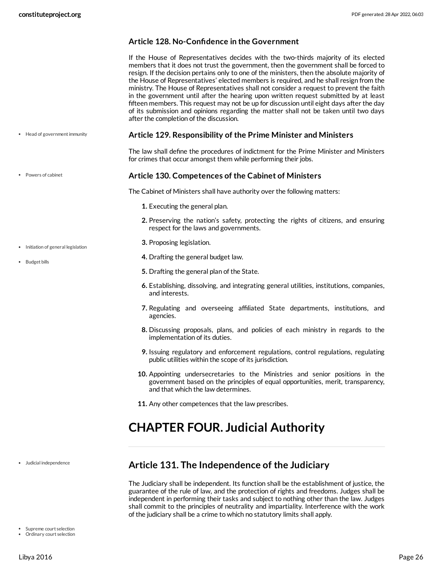Powers of cabinet

• Initiation of general legislation

• Budget bills

## **Article 128. No-Confidence in the Government**

If the House of Representatives decides with the two-thirds majority of its elected members that it does not trust the government, then the government shall be forced to resign. If the decision pertains only to one of the ministers, then the absolute majority of the House of Representatives' elected members is required, and he shall resign from the ministry. The House of Representatives shall not consider a request to prevent the faith in the government until after the hearing upon written request submitted by at least fifteen members. This request may not be up for discussion until eight days after the day of its submission and opinions regarding the matter shall not be taken until two days after the completion of the discussion.

**Article 129. Responsibility of the Prime Minister and Ministers** • Head of government immunity

> <span id="page-25-3"></span>The law shall define the procedures of indictment for the Prime Minister and Ministers for crimes that occur amongst them while performing their jobs.

#### **Article 130. Competences of the Cabinet of Ministers**

<span id="page-25-5"></span><span id="page-25-2"></span>The Cabinet of Ministers shall have authority over the following matters:

- **1.** Executing the general plan.
- **2.** Preserving the nation's safety, protecting the rights of citizens, and ensuring respect for the laws and governments.
- **3.** Proposing legislation.
- **4.** Drafting the general budget law.
- **5.** Drafting the general plan of the State.
- **6.** Establishing, dissolving, and integrating general utilities, institutions, companies, and interests.
- **7.** Regulating and overseeing affiliated State departments, institutions, and agencies.
- **8.** Discussing proposals, plans, and policies of each ministry in regards to the implementation of its duties.
- **9.** Issuing regulatory and enforcement regulations, control regulations, regulating public utilities within the scope of its jurisdiction.
- **10.** Appointing undersecretaries to the Ministries and senior positions in the government based on the principles of equal opportunities, merit, transparency, and that which the law determines.
- **11.** Any other competences that the law prescribes.

# <span id="page-25-0"></span>**CHAPTER FOUR. Judicial Authority**

Judicial independence

- Supreme court selection
- Ordinary court selection

# <span id="page-25-1"></span>**Article 131. The Independence of the Judiciary**

<span id="page-25-4"></span>The Judiciary shall be independent. Its function shall be the establishment of justice, the guarantee of the rule of law, and the protection of rights and freedoms. Judges shall be independent in performing their tasks and subject to nothing other than the law. Judges shall commit to the principles of neutrality and impartiality. Interference with the work of the judiciary shall be a crime to which no statutory limits shall apply.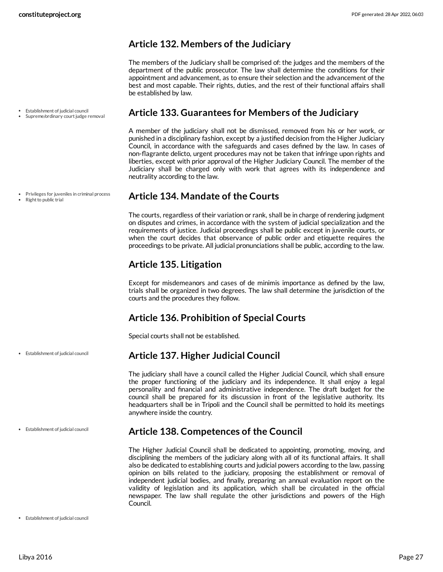## <span id="page-26-0"></span>**Article 132. Members of the Judiciary**

The members of the Judiciary shall be comprised of: the judges and the members of the department of the public prosecutor. The law shall determine the conditions for their appointment and advancement, as to ensure their selection and the advancement of the best and most capable. Their rights, duties, and the rest of their functional affairs shall be established by law.

- Establishment of judicial council
- Supreme/ordinary court judge removal

Privileges for juveniles in criminal process

 $\bullet$  Right to public trial

## <span id="page-26-1"></span>**Article 133. Guarantees for Members of the Judiciary**

A member of the judiciary shall not be dismissed, removed from his or her work, or punished in a disciplinary fashion, except by a justified decision from the Higher Judiciary Council, in accordance with the safeguards and cases defined by the law. In cases of non-flagrante delicto, urgent procedures may not be taken that infringe upon rights and liberties, except with prior approval of the Higher Judiciary Council. The member of the Judiciary shall be charged only with work that agrees with its independence and neutrality according to the law.

## <span id="page-26-2"></span>**Article 134. Mandate of the Courts**

The courts, regardless of their variation or rank, shall be in charge of rendering judgment on disputes and crimes, in accordance with the system of judicial specialization and the requirements of justice. Judicial proceedings shall be public except in juvenile courts, or when the court decides that observance of public order and etiquette requires the proceedings to be private. All judicial pronunciations shall be public, according to the law.

# <span id="page-26-3"></span>**Article 135. Litigation**

Except for misdemeanors and cases of de minimis importance as defined by the law, trials shall be organized in two degrees. The law shall determine the jurisdiction of the courts and the procedures they follow.

# <span id="page-26-4"></span>**Article 136. Prohibition of Special Courts**

Special courts shall not be established.

# <span id="page-26-5"></span>**Article 137. Higher Judicial Council**

The judiciary shall have a council called the Higher Judicial Council, which shall ensure the proper functioning of the judiciary and its independence. It shall enjoy a legal personality and financial and administrative independence. The draft budget for the council shall be prepared for its discussion in front of the legislative authority. Its headquarters shall be in Tripoli and the Council shall be permitted to hold its meetings anywhere inside the country.

#### Establishment of judicial council

Establishment of judicial council

## <span id="page-26-6"></span>**Article 138. Competences of the Council**

The Higher Judicial Council shall be dedicated to appointing, promoting, moving, and disciplining the members of the judiciary along with all of its functional affairs. It shall also be dedicated to establishing courts and judicial powers according to the law, passing opinion on bills related to the judiciary, proposing the establishment or removal of independent judicial bodies, and finally, preparing an annual evaluation report on the validity of legislation and its application, which shall be circulated in the official newspaper. The law shall regulate the other jurisdictions and powers of the High Council.

Establishment of judicial council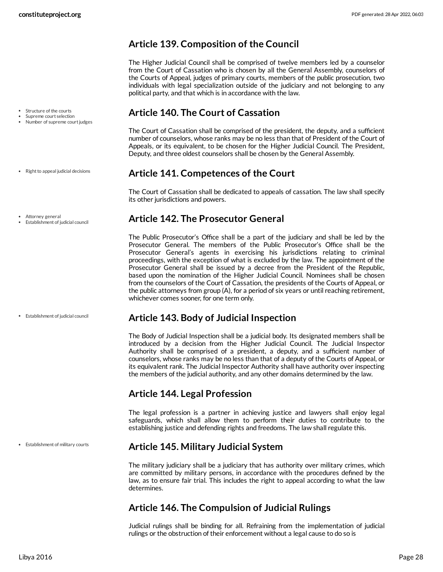# <span id="page-27-0"></span>**Article 139. Composition of the Council**

The Higher Judicial Council shall be comprised of twelve members led by a counselor from the Court of Cassation who is chosen by all the General Assembly, counselors of the Courts of Appeal, judges of primary courts, members of the public prosecution, two individuals with legal specialization outside of the judiciary and not belonging to any political party, and that which is in accordance with the law.

# <span id="page-27-1"></span>**Article 140. The Court of Cassation**

The Court of Cassation shall be comprised of the president, the deputy, and a sufficient number of counselors, whose ranks may be no less than that of President of the Court of Appeals, or its equivalent, to be chosen for the Higher Judicial Council. The President, Deputy, and three oldest counselors shall be chosen by the General Assembly.

# <span id="page-27-2"></span>**Article 141. Competences of the Court**

The Court of Cassation shall be dedicated to appeals of cassation. The law shall specify its other jurisdictions and powers.

# <span id="page-27-3"></span>**Article 142. The Prosecutor General**

The Public Prosecutor's Office shall be a part of the judiciary and shall be led by the Prosecutor General. The members of the Public Prosecutor's Office shall be the Prosecutor General's agents in exercising his jurisdictions relating to criminal proceedings, with the exception of what is excluded by the law. The appointment of the Prosecutor General shall be issued by a decree from the President of the Republic, based upon the nomination of the Higher Judicial Council. Nominees shall be chosen from the counselors of the Court of Cassation, the presidents of the Courts of Appeal, or the public attorneys from group (A), for a period of six years or until reaching retirement, whichever comes sooner, for one term only.

# <span id="page-27-4"></span>**Article 143. Body of Judicial Inspection**

The Body of Judicial Inspection shall be a judicial body. Its designated members shall be introduced by a decision from the Higher Judicial Council. The Judicial Inspector Authority shall be comprised of a president, a deputy, and a sufficient number of counselors, whose ranks may be no less than that of a deputy of the Courts of Appeal, or its equivalent rank. The Judicial Inspector Authority shall have authority over inspecting the members of the judicial authority, and any other domains determined by the law.

# <span id="page-27-5"></span>**Article 144. Legal Profession**

The legal profession is a partner in achieving justice and lawyers shall enjoy legal safeguards, which shall allow them to perform their duties to contribute to the establishing justice and defending rights and freedoms. The law shall regulate this.

# <span id="page-27-6"></span>**Article 145. Military Judicial System**

The military judiciary shall be a judiciary that has authority over military crimes, which are committed by military persons, in accordance with the procedures defined by the law, as to ensure fair trial. This includes the right to appeal according to what the law determines.

# <span id="page-27-7"></span>**Article 146. The Compulsion of Judicial Rulings**

Judicial rulings shall be binding for all. Refraining from the implementation of judicial rulings or the obstruction of their enforcement without a legal cause to do so is

- Structure of the courts
- Supreme court selection Number of supreme court judges
- Right to appeal judicial decisions
- Attorney general
- Establishment of judicial council

Establishment of judicial council

Establishment of military courts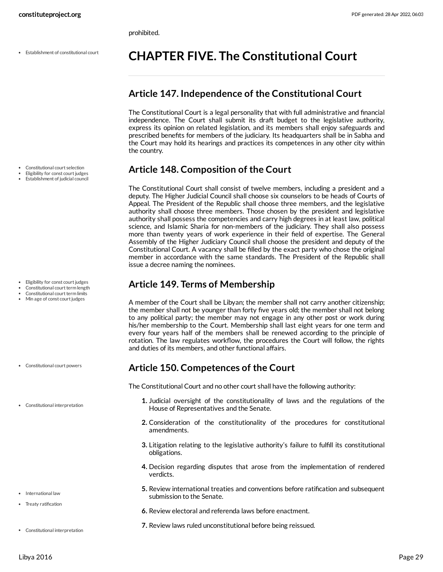prohibited.

Establishment of constitutional court

- Constitutional court selection
- Eligibility for const court judges
- Establishment of judicial council

- Eligibility for const court judges
- Constitutional court term length
- Constitutional court term limits
- Min age of const court judges

- Constitutional court powers
- Constitutional interpretation
- 

- International law
- Treaty ratification
- Constitutional interpretation

# <span id="page-28-0"></span>**CHAPTER FIVE. The Constitutional Court**

## <span id="page-28-1"></span>**Article 147. Independence of the Constitutional Court**

The Constitutional Court is a legal personality that with full administrative and financial independence. The Court shall submit its draft budget to the legislative authority, express its opinion on related legislation, and its members shall enjoy safeguards and prescribed benefits for members of the judiciary. Its headquarters shall be in Sabha and the Court may hold its hearings and practices its competences in any other city within the country.

# <span id="page-28-2"></span>**Article 148. Composition of the Court**

The Constitutional Court shall consist of twelve members, including a president and a deputy. The Higher Judicial Council shall choose six counselors to be heads of Courts of Appeal. The President of the Republic shall choose three members, and the legislative authority shall choose three members. Those chosen by the president and legislative authority shall possess the competencies and carry high degrees in at least law, political science, and Islamic Sharia for non-members of the judiciary. They shall also possess more than twenty years of work experience in their field of expertise. The General Assembly of the Higher Judiciary Council shall choose the president and deputy of the Constitutional Court. A vacancy shall be filled by the exact party who chose the original member in accordance with the same standards. The President of the Republic shall issue a decree naming the nominees.

## <span id="page-28-3"></span>**Article 149. Terms of Membership**

A member of the Court shall be Libyan; the member shall not carry another citizenship; the member shall not be younger than forty five years old; the member shall not belong to any political party; the member may not engage in any other post or work during his/her membership to the Court. Membership shall last eight years for one term and every four years half of the members shall be renewed according to the principle of rotation. The law regulates workflow, the procedures the Court will follow, the rights and duties of its members, and other functional affairs.

## <span id="page-28-4"></span>**Article 150. Competences of the Court**

<span id="page-28-5"></span>The Constitutional Court and no other court shall have the following authority:

- **1.** Judicial oversight of the constitutionality of laws and the regulations of the House of Representatives and the Senate.
- **2.** Consideration of the constitutionality of the procedures for constitutional amendments.
- **3.** Litigation relating to the legislative authority's failure to fulfill its constitutional obligations.
- **4.** Decision regarding disputes that arose from the implementation of rendered verdicts.
- **5.** Review international treaties and conventions before ratification and subsequent submission to the Senate.
- **6.** Review electoral and referenda laws before enactment.
- **7.** Review laws ruled unconstitutional before being reissued.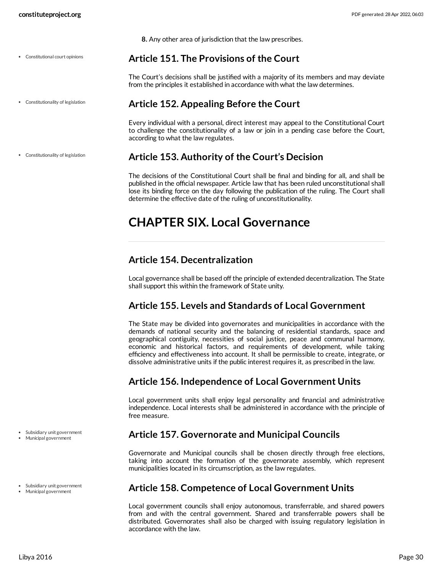Constitutional court opinions

Constitutionality of legislation

Constitutionality of legislation

**8.** Any other area of jurisdiction that the law prescribes.

## <span id="page-29-0"></span>**Article 151. The Provisions of the Court**

The Court's decisions shall be justified with a majority of its members and may deviate from the principles it established in accordance with what the law determines.

# <span id="page-29-1"></span>**Article 152. Appealing Before the Court**

Every individual with a personal, direct interest may appeal to the Constitutional Court to challenge the constitutionality of a law or join in a pending case before the Court, according to what the law regulates.

# **Article 153. Authority of the Court's Decision**

<span id="page-29-2"></span>The decisions of the Constitutional Court shall be final and binding for all, and shall be published in the official newspaper. Article law that has been ruled unconstitutional shall lose its binding force on the day following the publication of the ruling. The Court shall determine the effective date of the ruling of unconstitutionality.

# <span id="page-29-3"></span>**CHAPTER SIX. Local Governance**

# <span id="page-29-4"></span>**Article 154. Decentralization**

Local governance shall be based off the principle of extended decentralization. The State shall support this within the framework of State unity.

# <span id="page-29-5"></span>**Article 155. Levels and Standards of Local Government**

The State may be divided into governorates and municipalities in accordance with the demands of national security and the balancing of residential standards, space and geographical contiguity, necessities of social justice, peace and communal harmony, economic and historical factors, and requirements of development, while taking efficiency and effectiveness into account. It shall be permissible to create, integrate, or dissolve administrative units if the public interest requires it, as prescribed in the law.

# <span id="page-29-6"></span>**Article 156. Independence of Local Government Units**

Local government units shall enjoy legal personality and financial and administrative independence. Local interests shall be administered in accordance with the principle of free measure.

# <span id="page-29-7"></span>**Article 157. Governorate and Municipal Councils**

Governorate and Municipal councils shall be chosen directly through free elections, taking into account the formation of the governorate assembly, which represent municipalities located in its circumscription, as the law regulates.

# <span id="page-29-8"></span>**Article 158. Competence of Local Government Units**

Local government councils shall enjoy autonomous, transferrable, and shared powers from and with the central government. Shared and transferrable powers shall be distributed. Governorates shall also be charged with issuing regulatory legislation in accordance with the law.

Subsidiary unit government Municipal government

- Subsidiary unit government
- Municipal government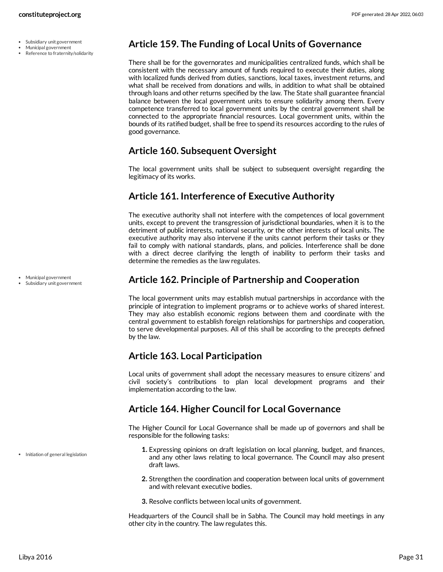- Municipal government
- Reference to fraternity/solidarity

## <span id="page-30-0"></span>**Article 159. The Funding of Local Units of Governance**

There shall be for the governorates and municipalities centralized funds, which shall be consistent with the necessary amount of funds required to execute their duties, along with localized funds derived from duties, sanctions, local taxes, investment returns, and what shall be received from donations and wills, in addition to what shall be obtained through loans and other returns specified by the law. The State shall guarantee financial balance between the local government units to ensure solidarity among them. Every competence transferred to local government units by the central government shall be connected to the appropriate financial resources. Local government units, within the bounds of its ratified budget, shall be free to spend its resources according to the rules of good governance.

## <span id="page-30-1"></span>**Article 160. Subsequent Oversight**

The local government units shall be subject to subsequent oversight regarding the legitimacy of its works.

# <span id="page-30-2"></span>**Article 161. Interference of Executive Authority**

The executive authority shall not interfere with the competences of local government units, except to prevent the transgression of jurisdictional boundaries, when it is to the detriment of public interests, national security, or the other interests of local units. The executive authority may also intervene if the units cannot perform their tasks or they fail to comply with national standards, plans, and policies. Interference shall be done with a direct decree clarifying the length of inability to perform their tasks and determine the remedies as the law regulates.

# <span id="page-30-3"></span>**Article 162. Principle of Partnership and Cooperation**

The local government units may establish mutual partnerships in accordance with the principle of integration to implement programs or to achieve works of shared interest. They may also establish economic regions between them and coordinate with the central government to establish foreign relationships for partnerships and cooperation, to serve developmental purposes. All of this shall be according to the precepts defined by the law.

# <span id="page-30-4"></span>**Article 163. Local Participation**

Local units of government shall adopt the necessary measures to ensure citizens' and civil society's contributions to plan local development programs and their implementation according to the law.

# <span id="page-30-5"></span>**Article 164. Higher Council for Local Governance**

<span id="page-30-6"></span>The Higher Council for Local Governance shall be made up of governors and shall be responsible for the following tasks:

- **1.** Expressing opinions on draft legislation on local planning, budget, and finances, and any other laws relating to local governance. The Council may also present draft laws.
- **2.** Strengthen the coordination and cooperation between local units of government and with relevant executive bodies.
- **3.** Resolve conflicts between local units of government.

Headquarters of the Council shall be in Sabha. The Council may hold meetings in any other city in the country. The law regulates this.

Municipal government

Subsidiary unit government

• Initiation of general legislation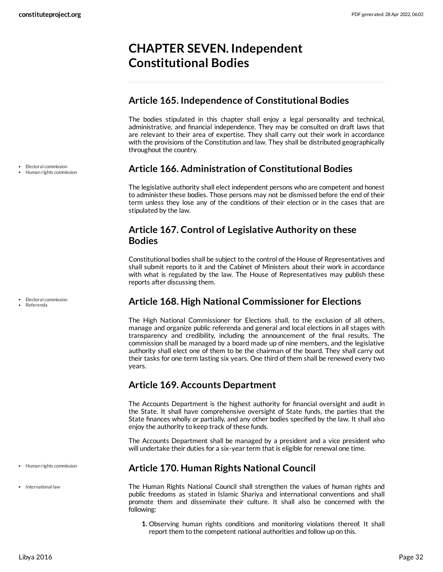# <span id="page-31-0"></span>**CHAPTER SEVEN. Independent Constitutional Bodies**

# <span id="page-31-1"></span>**Article 165. Independence of Constitutional Bodies**

The bodies stipulated in this chapter shall enjoy a legal personality and technical, administrative, and financial independence. They may be consulted on draft laws that are relevant to their area of expertise. They shall carry out their work in accordance with the provisions of the Constitution and law. They shall be distributed geographically throughout the country.

# <span id="page-31-2"></span>**Article 166. Administration of Constitutional Bodies**

The legislative authority shall elect independent persons who are competent and honest to administer these bodies. Those persons may not be dismissed before the end of their term unless they lose any of the conditions of their election or in the cases that are stipulated by the law.

# <span id="page-31-3"></span>**Article 167. Control of Legislative Authority on these Bodies**

Constitutional bodies shall be subject to the control of the House of Representatives and shall submit reports to it and the Cabinet of Ministers about their work in accordance with what is regulated by the law. The House of Representatives may publish these reports after discussing them.

# <span id="page-31-4"></span>**Article 168. High National Commissioner for Elections**

The High National Commissioner for Elections shall, to the exclusion of all others, manage and organize public referenda and general and local elections in all stages with transparency and credibility, including the announcement of the final results. The commission shall be managed by a board made up of nine members, and the legislative authority shall elect one of them to be the chairman of the board. They shall carry out their tasks for one term lasting six years. One third of them shall be renewed every two years.

# <span id="page-31-5"></span>**Article 169. Accounts Department**

The Accounts Department is the highest authority for financial oversight and audit in the State. It shall have comprehensive oversight of State funds, the parties that the State finances wholly or partially, and any other bodies specified by the law. It shall also enjoy the authority to keep track of these funds.

The Accounts Department shall be managed by a president and a vice president who will undertake their duties for a six-year term that is eligible for renewal one time.

# <span id="page-31-6"></span>**Article 170. Human Rights National Council**

<span id="page-31-7"></span>The Human Rights National Council shall strengthen the values of human rights and public freedoms as stated in Islamic Shariya and international conventions and shall promote them and disseminate their culture. It shall also be concerned with the following:

**1.** Observing human rights conditions and monitoring violations thereof. It shall report them to the competent national authorities and follow up on this.

Electoral commission

Human rights commission

• Electoral commission

Referenda

Human rights commission

• International law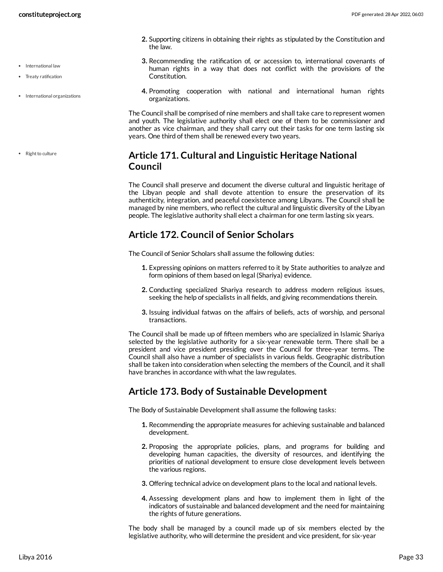• Treaty ratification

• Right to culture

• International organizations

- **constituteproject.org** PDF generated: 28 Apr 2022, 06:03
	- **2.** Supporting citizens in obtaining their rights as stipulated by the Constitution and the law.
	- **3.** Recommending the ratification of, or accession to, international covenants of human rights in a way that does not conflict with the provisions of the Constitution.
	- **4.** Promoting cooperation with national and international human rights organizations.

The Council shall be comprised of nine members and shall take care to represent women and youth. The legislative authority shall elect one of them to be commissioner and another as vice chairman, and they shall carry out their tasks for one term lasting six years. One third of them shall be renewed every two years.

# <span id="page-32-0"></span>**Article 171. Cultural and Linguistic Heritage National Council**

The Council shall preserve and document the diverse cultural and linguistic heritage of the Libyan people and shall devote attention to ensure the preservation of its authenticity, integration, and peaceful coexistence among Libyans. The Council shall be managed by nine members, who reflect the cultural and linguistic diversity of the Libyan people. The legislative authority shall elect a chairman for one term lasting six years.

# <span id="page-32-1"></span>**Article 172. Council of Senior Scholars**

The Council of Senior Scholars shall assume the following duties:

- **1.** Expressing opinions on matters referred to it by State authorities to analyze and form opinions of them based on legal (Shariya) evidence.
- **2.** Conducting specialized Shariya research to address modern religious issues, seeking the help of specialists in all fields, and giving recommendations therein.
- **3.** Issuing individual fatwas on the affairs of beliefs, acts of worship, and personal transactions.

The Council shall be made up of fifteen members who are specialized in Islamic Shariya selected by the legislative authority for a six-year renewable term. There shall be a president and vice president presiding over the Council for three-year terms. The Council shall also have a number of specialists in various fields. Geographic distribution shall be taken into consideration when selecting the members of the Council, and it shall have branches in accordance with what the law regulates.

# <span id="page-32-2"></span>**Article 173. Body of Sustainable Development**

The Body of Sustainable Development shall assume the following tasks:

- **1.** Recommending the appropriate measures for achieving sustainable and balanced development.
- **2.** Proposing the appropriate policies, plans, and programs for building and developing human capacities, the diversity of resources, and identifying the priorities of national development to ensure close development levels between the various regions.
- **3.** Offering technical advice on development plans to the local and national levels.
- **4.** Assessing development plans and how to implement them in light of the indicators of sustainable and balanced development and the need for maintaining the rights of future generations.

The body shall be managed by a council made up of six members elected by the legislative authority, who will determine the president and vice president, for six-year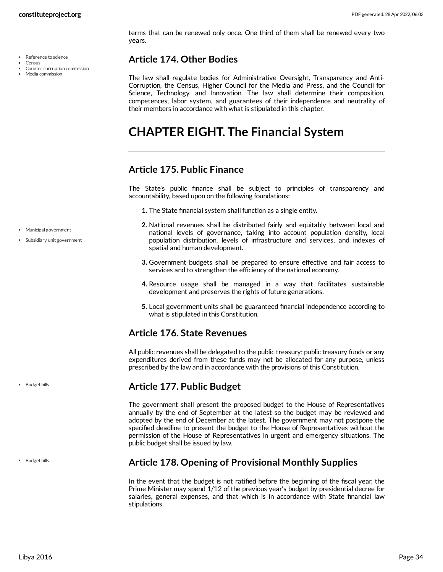- Reference to science
- Census
- Counter corruption commission

terms that can be renewed only once. One third of them shall be renewed every two years.

# <span id="page-33-0"></span>**Article 174. Other Bodies**

The law shall regulate bodies for Administrative Oversight, Transparency and Anti-Corruption, the Census, Higher Council for the Media and Press, and the Council for Science, Technology, and Innovation. The law shall determine their composition, competences, labor system, and guarantees of their independence and neutrality of their members in accordance with what is stipulated in this chapter.

# <span id="page-33-1"></span>**CHAPTER EIGHT. The Financial System**

# <span id="page-33-2"></span>**Article 175. Public Finance**

<span id="page-33-6"></span>The State's public finance shall be subject to principles of transparency and accountability, based upon on the following foundations:

- **1.** The State financial system shall function as a single entity.
- **2.** National revenues shall be distributed fairly and equitably between local and national levels of governance, taking into account population density, local population distribution, levels of infrastructure and services, and indexes of spatial and human development.
- **3.** Government budgets shall be prepared to ensure effective and fair access to services and to strengthen the efficiency of the national economy.
- **4.** Resource usage shall be managed in a way that facilitates sustainable development and preserves the rights of future generations.
- **5.** Local government units shall be guaranteed financial independence according to what is stipulated in this Constitution.

# <span id="page-33-3"></span>**Article 176. State Revenues**

All public revenues shall be delegated to the public treasury; public treasury funds or any expenditures derived from these funds may not be allocated for any purpose, unless prescribed by the law and in accordance with the provisions of this Constitution.

# <span id="page-33-4"></span>**Article 177. Public Budget**

The government shall present the proposed budget to the House of Representatives annually by the end of September at the latest so the budget may be reviewed and adopted by the end of December at the latest. The government may not postpone the specified deadline to present the budget to the House of Representatives without the permission of the House of Representatives in urgent and emergency situations. The public budget shall be issued by law.

• Budget bills

• Budget bills

# <span id="page-33-5"></span>**Article 178. Opening of Provisional Monthly Supplies**

In the event that the budget is not ratified before the beginning of the fiscal year, the Prime Minister may spend 1/12 of the previous year's budget by presidential decree for salaries, general expenses, and that which is in accordance with State financial law stipulations.

- Municipal government
- Subsidiary unit government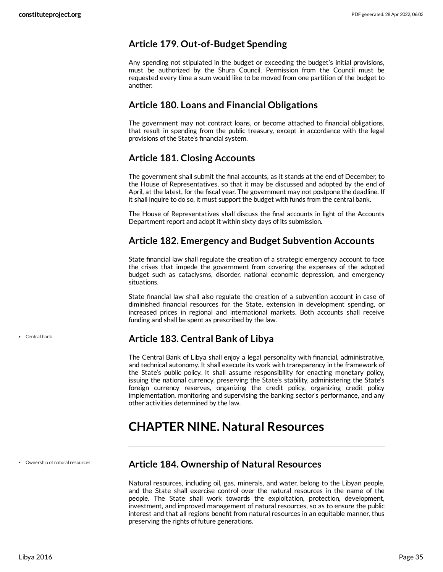## <span id="page-34-0"></span>**Article 179. Out-of-Budget Spending**

Any spending not stipulated in the budget or exceeding the budget's initial provisions, must be authorized by the Shura Council. Permission from the Council must be requested every time a sum would like to be moved from one partition of the budget to another.

## <span id="page-34-1"></span>**Article 180. Loans and Financial Obligations**

The government may not contract loans, or become attached to financial obligations, that result in spending from the public treasury, except in accordance with the legal provisions of the State's financial system.

# <span id="page-34-2"></span>**Article 181. Closing Accounts**

The government shall submit the final accounts, as it stands at the end of December, to the House of Representatives, so that it may be discussed and adopted by the end of April, at the latest, for the fiscal year. The government may not postpone the deadline. If it shall inquire to do so, it must support the budget with funds from the central bank.

The House of Representatives shall discuss the final accounts in light of the Accounts Department report and adopt it within sixty days of its submission.

## <span id="page-34-3"></span>**Article 182. Emergency and Budget Subvention Accounts**

State financial law shall regulate the creation of a strategic emergency account to face the crises that impede the government from covering the expenses of the adopted budget such as cataclysms, disorder, national economic depression, and emergency situations.

State financial law shall also regulate the creation of a subvention account in case of diminished financial resources for the State, extension in development spending, or increased prices in regional and international markets. Both accounts shall receive funding and shall be spent as prescribed by the law.

# <span id="page-34-4"></span>**Article 183. Central Bank of Libya**

The Central Bank of Libya shall enjoy a legal personality with financial, administrative, and technical autonomy. It shall execute its work with transparency in the framework of the State's public policy. It shall assume responsibility for enacting monetary policy, issuing the national currency, preserving the State's stability, administering the State's foreign currency reserves, organizing the credit policy, organizing credit policy implementation, monitoring and supervising the banking sector's performance, and any other activities determined by the law.

# <span id="page-34-5"></span>**CHAPTER NINE. Natural Resources**

Ownership of natural resources

# <span id="page-34-6"></span>**Article 184. Ownership of Natural Resources**

Natural resources, including oil, gas, minerals, and water, belong to the Libyan people, and the State shall exercise control over the natural resources in the name of the people. The State shall work towards the exploitation, protection, development, investment, and improved management of natural resources, so as to ensure the public interest and that all regions benefit from natural resources in an equitable manner, thus preserving the rights of future generations.

Central bank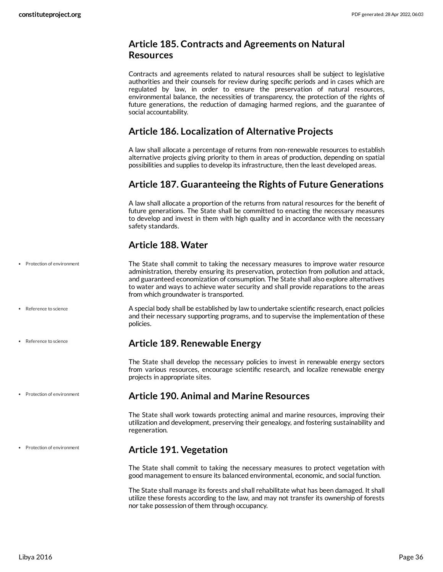# <span id="page-35-0"></span>**Article 185. Contracts and Agreements on Natural Resources**

Contracts and agreements related to natural resources shall be subject to legislative authorities and their counsels for review during specific periods and in cases which are regulated by law, in order to ensure the preservation of natural resources, environmental balance, the necessities of transparency, the protection of the rights of future generations, the reduction of damaging harmed regions, and the guarantee of social accountability.

## <span id="page-35-1"></span>**Article 186. Localization of Alternative Projects**

A law shall allocate a percentage of returns from non-renewable resources to establish alternative projects giving priority to them in areas of production, depending on spatial possibilities and supplies to develop its infrastructure, then the least developed areas.

# <span id="page-35-2"></span>**Article 187. Guaranteeing the Rights of Future Generations**

A law shall allocate a proportion of the returns from natural resources for the benefit of future generations. The State shall be committed to enacting the necessary measures to develop and invest in them with high quality and in accordance with the necessary safety standards.

# <span id="page-35-7"></span><span id="page-35-3"></span>**Article 188. Water**

- The State shall commit to taking the necessary measures to improve water resource administration, thereby ensuring its preservation, protection from pollution and attack, and guaranteed economization of consumption. The State shall also explore alternatives to water and ways to achieve water security and shall provide reparations to the areas from which groundwater is transported. • Protection of environment
	- A special body shall be established by law to undertake scientific research, enact policies and their necessary supporting programs, and to supervise the implementation of these policies.

## <span id="page-35-8"></span><span id="page-35-4"></span>**Article 189. Renewable Energy**

The State shall develop the necessary policies to invest in renewable energy sectors from various resources, encourage scientific research, and localize renewable energy projects in appropriate sites.

#### • Protection of environment

• Reference to science

• Reference to science

## <span id="page-35-5"></span>**Article 190. Animal and Marine Resources**

The State shall work towards protecting animal and marine resources, improving their utilization and development, preserving their genealogy, and fostering sustainability and regeneration.

#### • Protection of environment

## <span id="page-35-6"></span>**Article 191. Vegetation**

The State shall commit to taking the necessary measures to protect vegetation with good management to ensure its balanced environmental, economic, and social function.

The State shall manage its forests and shall rehabilitate what has been damaged. It shall utilize these forests according to the law, and may not transfer its ownership of forests nor take possession of them through occupancy.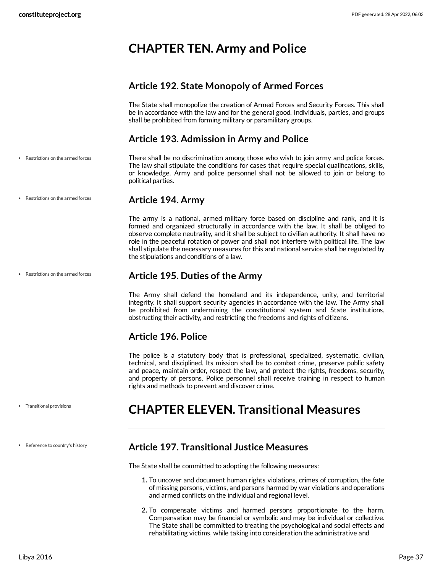# <span id="page-36-0"></span>**CHAPTER TEN. Army and Police**

# <span id="page-36-1"></span>**Article 192. State Monopoly of Armed Forces**

The State shall monopolize the creation of Armed Forces and Security Forces. This shall be in accordance with the law and for the general good. Individuals, parties, and groups shall be prohibited from forming military or paramilitary groups.

# <span id="page-36-8"></span><span id="page-36-2"></span>**Article 193. Admission in Army and Police**

There shall be no discrimination among those who wish to join army and police forces. The law shall stipulate the conditions for cases that require special qualifications, skills, or knowledge. Army and police personnel shall not be allowed to join or belong to political parties. Restrictions on the armed forces

## <span id="page-36-3"></span>**Article 194. Army**

The army is a national, armed military force based on discipline and rank, and it is formed and organized structurally in accordance with the law. It shall be obliged to observe complete neutrality, and it shall be subject to civilian authority. It shall have no role in the peaceful rotation of power and shall not interfere with political life. The law shall stipulate the necessary measures for this and national service shall be regulated by the stipulations and conditions of a law.

## <span id="page-36-4"></span>**Article 195. Duties of the Army**

The Army shall defend the homeland and its independence, unity, and territorial integrity. It shall support security agencies in accordance with the law. The Army shall be prohibited from undermining the constitutional system and State institutions, obstructing their activity, and restricting the freedoms and rights of citizens.

# <span id="page-36-5"></span>**Article 196. Police**

The police is a statutory body that is professional, specialized, systematic, civilian, technical, and disciplined. Its mission shall be to combat crime, preserve public safety and peace, maintain order, respect the law, and protect the rights, freedoms, security, and property of persons. Police personnel shall receive training in respect to human rights and methods to prevent and discover crime.

# <span id="page-36-6"></span>**CHAPTER ELEVEN. Transitional Measures**

# <span id="page-36-7"></span>**Article 197. Transitional Justice Measures**

The State shall be committed to adopting the following measures:

- **1.** To uncover and document human rights violations, crimes of corruption, the fate of missing persons, victims, and persons harmed by war violations and operations and armed conflicts on the individual and regional level.
- **2.** To compensate victims and harmed persons proportionate to the harm. Compensation may be financial or symbolic and may be individual or collective. The State shall be committed to treating the psychological and social effects and rehabilitating victims, while taking into consideration the administrative and

• Restrictions on the armed forces

Restrictions on the armed forces

Transitional provisions

• Reference to country's history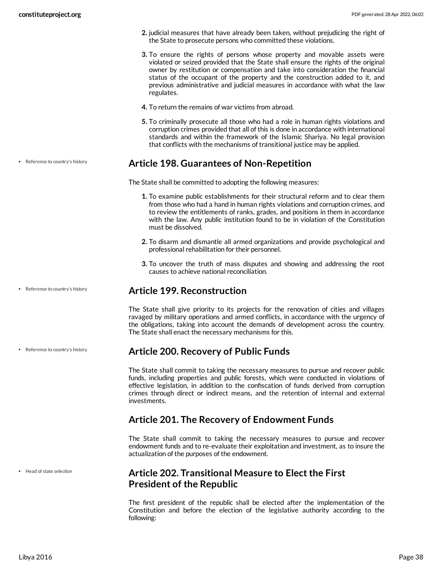- **2.** judicial measures that have already been taken, without prejudicing the right of the State to prosecute persons who committed these violations.
- **3.** To ensure the rights of persons whose property and movable assets were violated or seized provided that the State shall ensure the rights of the original owner by restitution or compensation and take into consideration the financial status of the occupant of the property and the construction added to it, and previous administrative and judicial measures in accordance with what the law regulates.
- **4.** To return the remains of war victims from abroad.
- **5.** To criminally prosecute all those who had a role in human rights violations and corruption crimes provided that all of this is done in accordance with international standards and within the framework of the Islamic Shariya. No legal provision that conflicts with the mechanisms of transitional justice may be applied.

## <span id="page-37-0"></span>**Article 198. Guarantees of Non-Repetition**

The State shall be committed to adopting the following measures:

- **1.** To examine public establishments for their structural reform and to clear them from those who had a hand in human rights violations and corruption crimes, and to review the entitlements of ranks, grades, and positions in them in accordance with the law. Any public institution found to be in violation of the Constitution must be dissolved.
- **2.** To disarm and dismantle all armed organizations and provide psychological and professional rehabilitation for their personnel.
- **3.** To uncover the truth of mass disputes and showing and addressing the root causes to achieve national reconciliation.

# <span id="page-37-1"></span>**Article 199. Reconstruction**

The State shall give priority to its projects for the renovation of cities and villages ravaged by military operations and armed conflicts, in accordance with the urgency of the obligations, taking into account the demands of development across the country. The State shall enact the necessary mechanisms for this.

## <span id="page-37-2"></span>**Article 200. Recovery of Public Funds**

The State shall commit to taking the necessary measures to pursue and recover public funds, including properties and public forests, which were conducted in violations of effective legislation, in addition to the confiscation of funds derived from corruption crimes through direct or indirect means, and the retention of internal and external investments.

# <span id="page-37-3"></span>**Article 201. The Recovery of Endowment Funds**

The State shall commit to taking the necessary measures to pursue and recover endowment funds and to re-evaluate their exploitation and investment, as to insure the actualization of the purposes of the endowment.

# <span id="page-37-4"></span>**Article 202. Transitional Measure to Elect the First President of the Republic**

The first president of the republic shall be elected after the implementation of the Constitution and before the election of the legislative authority according to the following:

• Reference to country's history

• Reference to country's history

• Reference to country's history

• Head of state selection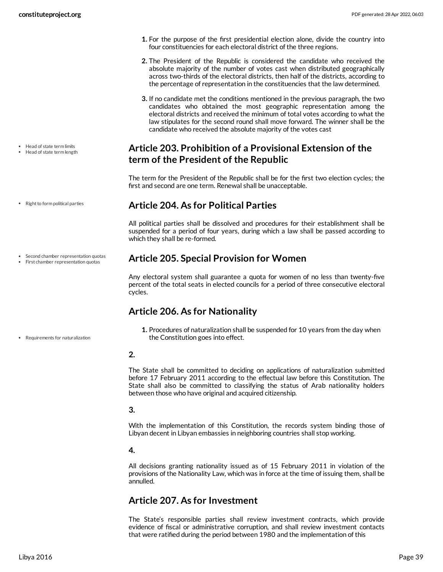Head of state term limits Head of state term length

• Right to form political parties

Second chamber representation quotas First chamber representation quotas

- **1.** For the purpose of the first presidential election alone, divide the country into four constituencies for each electoral district of the three regions.
- **2.** The President of the Republic is considered the candidate who received the absolute majority of the number of votes cast when distributed geographically across two-thirds of the electoral districts, then half of the districts, according to the percentage of representation in the constituencies that the law determined.
- **3.** If no candidate met the conditions mentioned in the previous paragraph, the two candidates who obtained the most geographic representation among the electoral districts and received the minimum of total votes according to what the law stipulates for the second round shall move forward. The winner shall be the candidate who received the absolute majority of the votes cast

# <span id="page-38-0"></span>**Article 203. Prohibition of a Provisional Extension of the term of the President of the Republic**

The term for the President of the Republic shall be for the first two election cycles; the first and second are one term. Renewal shall be unacceptable.

## <span id="page-38-1"></span>**Article 204. As for Political Parties**

All political parties shall be dissolved and procedures for their establishment shall be suspended for a period of four years, during which a law shall be passed according to which they shall be re-formed.

## <span id="page-38-2"></span>**Article 205. Special Provision for Women**

Any electoral system shall guarantee a quota for women of no less than twenty-five percent of the total seats in elected councils for a period of three consecutive electoral cycles.

# <span id="page-38-3"></span>**Article 206. As for Nationality**

**1.** Procedures of naturalization shall be suspended for 10 years from the day when the Constitution goes into effect.

### **2.**

The State shall be committed to deciding on applications of naturalization submitted before 17 February 2011 according to the effectual law before this Constitution. The State shall also be committed to classifying the status of Arab nationality holders between those who have original and acquired citizenship.

## **3.**

With the implementation of this Constitution, the records system binding those of Libyan decent in Libyan embassies in neighboring countries shall stop working.

## **4.**

All decisions granting nationality issued as of 15 February 2011 in violation of the provisions of the Nationality Law, which was in force at the time of issuing them, shall be annulled.

# <span id="page-38-4"></span>**Article 207. As for Investment**

The State's responsible parties shall review investment contracts, which provide evidence of fiscal or administrative corruption, and shall review investment contacts that were ratified during the period between 1980 and the implementation of this

Requirements for naturalization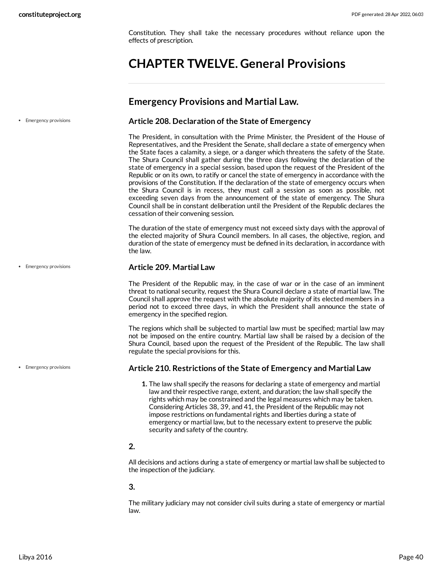• Emergency provisions

Constitution. They shall take the necessary procedures without reliance upon the effects of prescription.

# <span id="page-39-0"></span>**CHAPTER TWELVE. General Provisions**

## <span id="page-39-1"></span>**Emergency Provisions and Martial Law.**

### <span id="page-39-2"></span>**Article 208. Declaration of the State of Emergency**

The President, in consultation with the Prime Minister, the President of the House of Representatives, and the President the Senate, shall declare a state of emergency when the State faces a calamity, a siege, or a danger which threatens the safety of the State. The Shura Council shall gather during the three days following the declaration of the state of emergency in a special session, based upon the request of the President of the Republic or on its own, to ratify or cancel the state of emergency in accordance with the provisions of the Constitution. If the declaration of the state of emergency occurs when the Shura Council is in recess, they must call a session as soon as possible, not exceeding seven days from the announcement of the state of emergency. The Shura Council shall be in constant deliberation until the President of the Republic declares the cessation of their convening session.

The duration of the state of emergency must not exceed sixty days with the approval of the elected majority of Shura Council members. In all cases, the objective, region, and duration of the state of emergency must be defined in its declaration, in accordance with the law.

#### **Article 209. Martial Law**

The President of the Republic may, in the case of war or in the case of an imminent threat to national security, request the Shura Council declare a state of martial law. The Council shall approve the request with the absolute majority of its elected members in a period not to exceed three days, in which the President shall announce the state of emergency in the specified region.

The regions which shall be subjected to martial law must be specified; martial law may not be imposed on the entire country. Martial law shall be raised by a decision of the Shura Council, based upon the request of the President of the Republic. The law shall regulate the special provisions for this.

#### **Article 210. Restrictions of the State of Emergency and Martial Law**

**1.** The law shall specify the reasons for declaring a state of emergency and martial law and their respective range, extent, and duration; the law shall specify the rights which may be constrained and the legal measures which may be taken. Considering Articles 38, 39, and 41, the President of the Republic may not impose restrictions on fundamental rights and liberties during a state of emergency or martial law, but to the necessary extent to preserve the public security and safety of the country.

## **2.**

All decisions and actions during a state of emergency or martial law shall be subjected to the inspection of the judiciary.

## **3.**

The military judiciary may not consider civil suits during a state of emergency or martial law.

• Emergency provisions

**•** Emergency provisions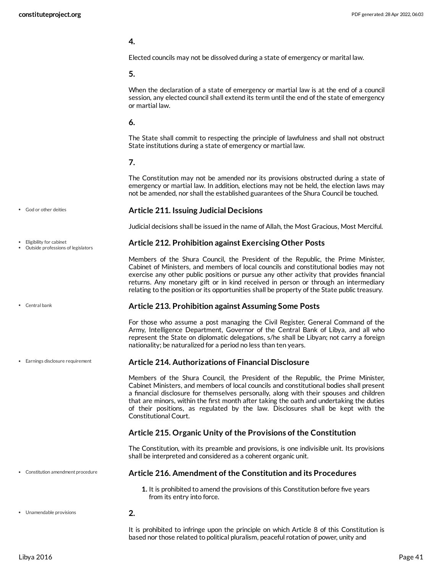#### **4.**

Elected councils may not be dissolved during a state of emergency or marital law.

#### **5.**

When the declaration of a state of emergency or martial law is at the end of a council session, any elected council shall extend its term until the end of the state of emergency or martial law.

### **6.**

The State shall commit to respecting the principle of lawfulness and shall not obstruct State institutions during a state of emergency or martial law.

## **7.**

The Constitution may not be amended nor its provisions obstructed during a state of emergency or martial law. In addition, elections may not be held, the election laws may not be amended, nor shall the established guarantees of the Shura Council be touched.

<span id="page-40-3"></span>Judicial decisions shall be issued in the name of Allah, the Most Gracious, Most Merciful.

#### God or other deities

Eligibility for cabinet

- Outside professions of legislators
- Central bank
- Earnings disclosure requirement

# **Article 212. Prohibition against Exercising Other Posts**

<span id="page-40-4"></span>**Article 211. Issuing Judicial Decisions**

Members of the Shura Council, the President of the Republic, the Prime Minister, Cabinet of Ministers, and members of local councils and constitutional bodies may not exercise any other public positions or pursue any other activity that provides financial returns. Any monetary gift or in kind received in person or through an intermediary relating to the position or its opportunities shall be property of the State public treasury.

#### <span id="page-40-0"></span>**Article 213. Prohibition against Assuming Some Posts**

For those who assume a post managing the Civil Register, General Command of the Army, Intelligence Department, Governor of the Central Bank of Libya, and all who represent the State on diplomatic delegations, s/he shall be Libyan; not carry a foreign nationality; be naturalized for a period no less than ten years.

#### <span id="page-40-2"></span>**Article 214. Authorizations of Financial Disclosure**

Members of the Shura Council, the President of the Republic, the Prime Minister, Cabinet Ministers, and members of local councils and constitutional bodies shall present a financial disclosure for themselves personally, along with their spouses and children that are minors, within the first month after taking the oath and undertaking the duties of their positions, as regulated by the law. Disclosures shall be kept with the Constitutional Court.

## **Article 215. Organic Unity of the Provisions of the Constitution**

The Constitution, with its preamble and provisions, is one indivisible unit. Its provisions shall be interpreted and considered as a coherent organic unit.

#### **Article 216. Amendment of the Constitution and its Procedures** Constitution amendment procedure

<span id="page-40-5"></span>**2.**

- <span id="page-40-1"></span>**1.** It is prohibited to amend the provisions of this Constitution before five years from its entry into force.
- Unamendable provisions

It is prohibited to infringe upon the principle on which Article 8 of this Constitution is based nor those related to political pluralism, peaceful rotation of power, unity and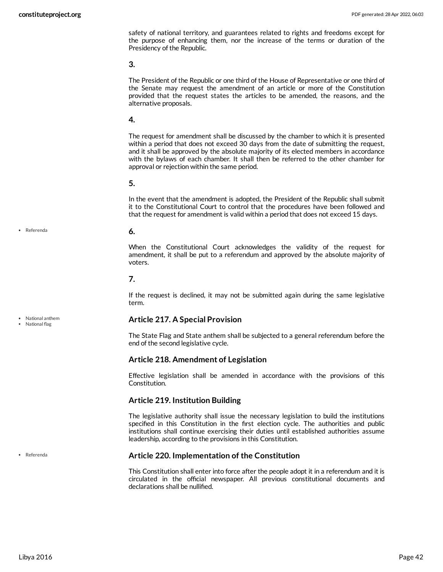safety of national territory, and guarantees related to rights and freedoms except for the purpose of enhancing them, nor the increase of the terms or duration of the Presidency of the Republic.

**3.**

The President of the Republic or one third of the House of Representative or one third of the Senate may request the amendment of an article or more of the Constitution provided that the request states the articles to be amended, the reasons, and the alternative proposals.

#### **4.**

The request for amendment shall be discussed by the chamber to which it is presented within a period that does not exceed 30 days from the date of submitting the request, and it shall be approved by the absolute majority of its elected members in accordance with the bylaws of each chamber. It shall then be referred to the other chamber for approval or rejection within the same period.

#### **5.**

In the event that the amendment is adopted, the President of the Republic shall submit it to the Constitutional Court to control that the procedures have been followed and that the request for amendment is valid within a period that does not exceed 15 days.

#### <span id="page-41-1"></span>**6.**

When the Constitutional Court acknowledges the validity of the request for amendment, it shall be put to a referendum and approved by the absolute majority of voters.

#### **7.**

If the request is declined, it may not be submitted again during the same legislative term.

#### <span id="page-41-0"></span>**Article 217. A Special Provision**

The State Flag and State anthem shall be subjected to a general referendum before the end of the second legislative cycle.

#### **Article 218. Amendment of Legislation**

Effective legislation shall be amended in accordance with the provisions of this Constitution.

#### **Article 219. Institution Building**

The legislative authority shall issue the necessary legislation to build the institutions specified in this Constitution in the first election cycle. The authorities and public institutions shall continue exercising their duties until established authorities assume leadership, according to the provisions in this Constitution.

#### **Article 220. Implementation of the Constitution**

This Constitution shall enter into force after the people adopt it in a referendum and it is circulated in the official newspaper. All previous constitutional documents and declarations shall be nullified.

Referenda

National anthem

National flag

Referenda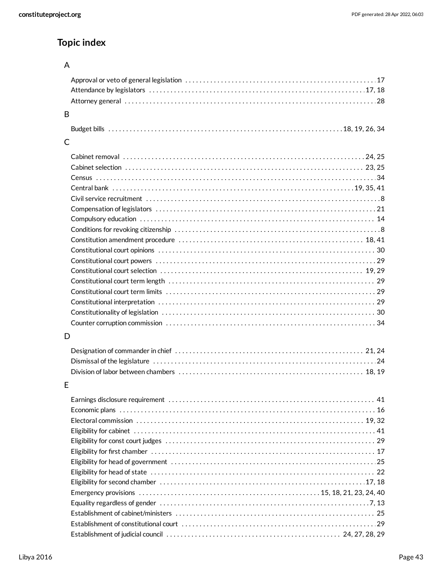# **Topic index**

# A

| B |  |
|---|--|
|   |  |
| С |  |
|   |  |
|   |  |
|   |  |
|   |  |
|   |  |
|   |  |
|   |  |
|   |  |
|   |  |
|   |  |
|   |  |
|   |  |
|   |  |
|   |  |
|   |  |
|   |  |
|   |  |
| D |  |
|   |  |
|   |  |
|   |  |
|   |  |
| Е |  |
|   |  |
|   |  |
|   |  |
|   |  |
|   |  |
|   |  |
|   |  |
|   |  |
|   |  |
|   |  |
|   |  |
|   |  |
|   |  |
|   |  |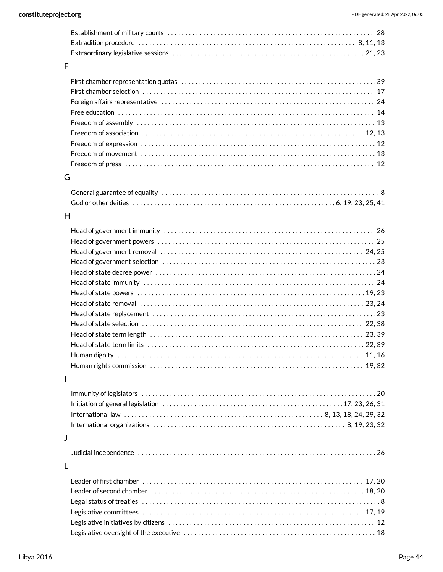| Extradition procedure $\dots\dots\dots\dots\dots\dots\dots\dots\dots\dots\dots\dots\dots\dots\dots\dots\dots$ . 8, 11, 13 |  |
|---------------------------------------------------------------------------------------------------------------------------|--|
|                                                                                                                           |  |

## F

## G

## H

## [20](#page-19-0) Immunity of legislators . . . . . . . . . . . . . . . . . . . . . . . . . . . . . . . . . . . . . . . . . . . . . . . . . . . . . . . . . . . . . . . . . . [17,](#page-16-4) [23](#page-22-0), [26,](#page-25-2) [31](#page-30-6) Initiation of general legislation . . . . . . . . . . . . . . . . . . . . . . . . . . . . . . . . . . . . . . . . . . . . . . . . . . . [8,](#page-7-2) [13](#page-12-1), [18,](#page-17-1) [24](#page-23-5), [29,](#page-28-5) [32](#page-31-7) International law . . . . . . . . . . . . . . . . . . . . . . . . . . . . . . . . . . . . . . . . . . . . . . . . . . . . . . . . [8,](#page-7-2) [19](#page-18-4), [23,](#page-22-0) [32](#page-31-7) International organizations . . . . . . . . . . . . . . . . . . . . . . . . . . . . . . . . . . . . . . . . . . . . . . . . . . . . . .

### J

I

|--|--|--|

## L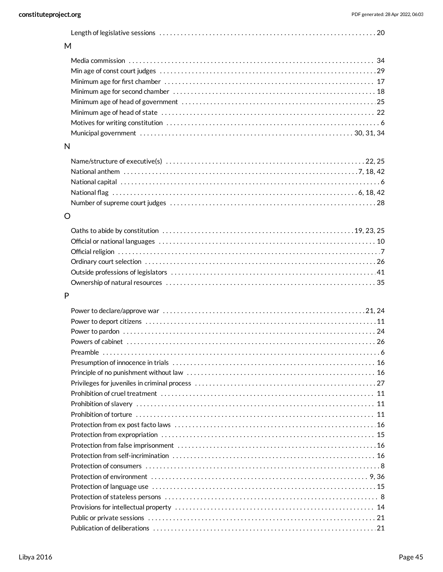|--|--|--|

# M

## N

# O

# P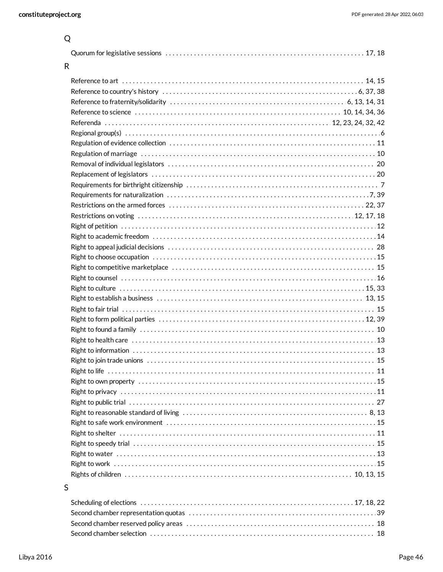| R                                                                                                                             |          |
|-------------------------------------------------------------------------------------------------------------------------------|----------|
|                                                                                                                               |          |
|                                                                                                                               |          |
|                                                                                                                               |          |
| Reference to science contract contract and the set of the set of the set of the set of the set of the set of $10, 14, 34, 36$ |          |
|                                                                                                                               |          |
|                                                                                                                               |          |
|                                                                                                                               |          |
|                                                                                                                               |          |
|                                                                                                                               |          |
|                                                                                                                               |          |
|                                                                                                                               |          |
|                                                                                                                               |          |
|                                                                                                                               |          |
|                                                                                                                               |          |
|                                                                                                                               |          |
|                                                                                                                               |          |
|                                                                                                                               |          |
|                                                                                                                               |          |
|                                                                                                                               |          |
|                                                                                                                               |          |
|                                                                                                                               |          |
|                                                                                                                               |          |
|                                                                                                                               |          |
|                                                                                                                               |          |
|                                                                                                                               |          |
|                                                                                                                               |          |
|                                                                                                                               |          |
|                                                                                                                               |          |
| Right to life                                                                                                                 | . 11     |
|                                                                                                                               |          |
| Right to privacy ………………………………………………………………………………………11                                                                          |          |
|                                                                                                                               |          |
|                                                                                                                               |          |
|                                                                                                                               |          |
|                                                                                                                               |          |
|                                                                                                                               |          |
|                                                                                                                               |          |
|                                                                                                                               |          |
|                                                                                                                               |          |
| S                                                                                                                             |          |
| College all office to such a continuous and                                                                                   | 17.10.00 |